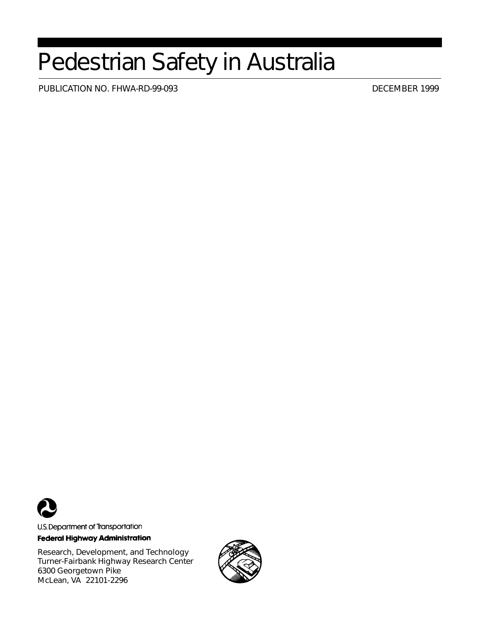# Pedestrian Safety in Australia

PUBLICATION NO. FHWA-RD-99-093 DECEMBER 1999



U.S. Department of Transportation **Federal Highway Administration** 

Research, Development, and Technology Turner-Fairbank Highway Research Center 6300 Georgetown Pike McLean, VA 22101-2296

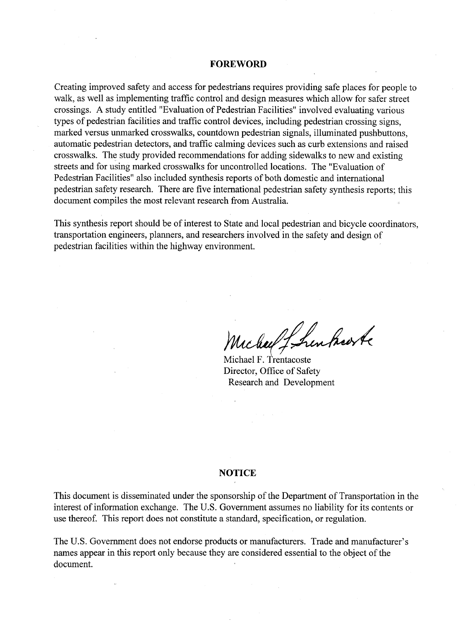#### **FOREWORD**

Creating improved safety and access for pedestrians requires providing safe places for people to walk, as well as implementing traffic control and design measures which allow for safer street crossings. A study entitled "Evaluation of Pedestrian Facilities" involved evaluating various types of pedestrian facilities and traffic control devices, including pedestrian crossing signs, marked versus unmarked crosswalks, countdown pedestrian signals, illuminated pushbuttons, automatic pedestrian detectors, and traffic calming devices such as curb extensions and raised crosswalks. The study provided recommendations for adding sidewalks to new and existing streets and for using marked crosswalks for uncontrolled locations. The "Evaluation of Pedestrian Facilities" also included synthesis reports of both domestic and international pedestrian safety research. There are five international pedestrian safety synthesis reports; this document compiles the most relevant research from Australia.

This synthesis report should be of interest to State and local pedestrian and bicycle coordinators, transportation engineers, planners, and researchers involved in the safety and design of pedestrian facilities within the highway environment.

riched Lhenhorte

Michael F. Trentacoste Director, Office of Safety **Research and Development** 

#### **NOTICE**

This document is disseminated under the sponsorship of the Department of Transportation in the interest of information exchange. The U.S. Government assumes no liability for its contents or use thereof. This report does not constitute a standard, specification, or regulation.

The U.S. Government does not endorse products or manufacturers. Trade and manufacturer's names appear in this report only because they are considered essential to the object of the document.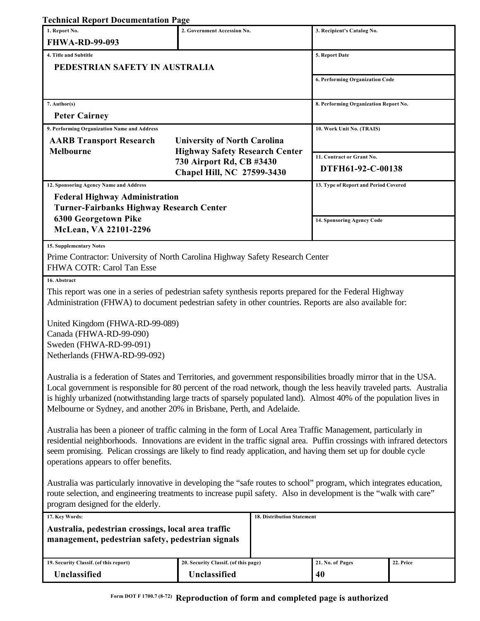## **Technical Report Documentation Page**

| cennical report Documentation                                                                                                                          |                                       |                                     |                                       |           |  |  |  |
|--------------------------------------------------------------------------------------------------------------------------------------------------------|---------------------------------------|-------------------------------------|---------------------------------------|-----------|--|--|--|
| 1. Report No.<br><b>FHWA-RD-99-093</b>                                                                                                                 | 2. Government Accession No.           |                                     | 3. Recipient's Catalog No.            |           |  |  |  |
|                                                                                                                                                        |                                       |                                     |                                       |           |  |  |  |
| 4. Title and Subtitle<br>PEDESTRIAN SAFETY IN AUSTRALIA                                                                                                |                                       | 5. Report Date                      |                                       |           |  |  |  |
|                                                                                                                                                        |                                       |                                     |                                       |           |  |  |  |
|                                                                                                                                                        |                                       |                                     | 6. Performing Organization Code       |           |  |  |  |
| 7. Author(s)                                                                                                                                           |                                       |                                     | 8. Performing Organization Report No. |           |  |  |  |
| <b>Peter Cairney</b>                                                                                                                                   |                                       |                                     |                                       |           |  |  |  |
| 9. Performing Organization Name and Address                                                                                                            |                                       |                                     | 10. Work Unit No. (TRAIS)             |           |  |  |  |
| <b>AARB Transport Research</b>                                                                                                                         |                                       | <b>University of North Carolina</b> |                                       |           |  |  |  |
| <b>Melbourne</b>                                                                                                                                       | <b>Highway Safety Research Center</b> |                                     | 11. Contract or Grant No.             |           |  |  |  |
|                                                                                                                                                        |                                       | 730 Airport Rd, CB #3430            |                                       |           |  |  |  |
|                                                                                                                                                        | Chapel Hill, NC 27599-3430            |                                     | DTFH61-92-C-00138                     |           |  |  |  |
| 12. Sponsoring Agency Name and Address                                                                                                                 |                                       |                                     | 13. Type of Report and Period Covered |           |  |  |  |
| <b>Federal Highway Administration</b><br><b>Turner-Fairbanks Highway Research Center</b>                                                               |                                       |                                     |                                       |           |  |  |  |
| 6300 Georgetown Pike                                                                                                                                   |                                       |                                     |                                       |           |  |  |  |
| McLean, VA 22101-2296                                                                                                                                  |                                       |                                     | 14. Sponsoring Agency Code            |           |  |  |  |
|                                                                                                                                                        |                                       |                                     |                                       |           |  |  |  |
| <b>15. Supplementary Notes</b><br>Prime Contractor: University of North Carolina Highway Safety Research Center                                        |                                       |                                     |                                       |           |  |  |  |
| FHWA COTR: Carol Tan Esse                                                                                                                              |                                       |                                     |                                       |           |  |  |  |
| 16. Abstract                                                                                                                                           |                                       |                                     |                                       |           |  |  |  |
| This report was one in a series of pedestrian safety synthesis reports prepared for the Federal Highway                                                |                                       |                                     |                                       |           |  |  |  |
| Administration (FHWA) to document pedestrian safety in other countries. Reports are also available for:                                                |                                       |                                     |                                       |           |  |  |  |
|                                                                                                                                                        |                                       |                                     |                                       |           |  |  |  |
| United Kingdom (FHWA-RD-99-089)                                                                                                                        |                                       |                                     |                                       |           |  |  |  |
| Canada (FHWA-RD-99-090)                                                                                                                                |                                       |                                     |                                       |           |  |  |  |
| Sweden (FHWA-RD-99-091)<br>Netherlands (FHWA-RD-99-092)                                                                                                |                                       |                                     |                                       |           |  |  |  |
|                                                                                                                                                        |                                       |                                     |                                       |           |  |  |  |
| Australia is a federation of States and Territories, and government responsibilities broadly mirror that in the USA.                                   |                                       |                                     |                                       |           |  |  |  |
| Local government is responsible for 80 percent of the road network, though the less heavily traveled parts. Australia                                  |                                       |                                     |                                       |           |  |  |  |
| is highly urbanized (notwithstanding large tracts of sparsely populated land). Almost 40% of the population lives in                                   |                                       |                                     |                                       |           |  |  |  |
| Melbourne or Sydney, and another 20% in Brisbane, Perth, and Adelaide.                                                                                 |                                       |                                     |                                       |           |  |  |  |
| Australia has been a pioneer of traffic calming in the form of Local Area Traffic Management, particularly in                                          |                                       |                                     |                                       |           |  |  |  |
| residential neighborhoods. Innovations are evident in the traffic signal area. Puffin crossings with infrared detectors                                |                                       |                                     |                                       |           |  |  |  |
| seem promising. Pelican crossings are likely to find ready application, and having them set up for double cycle                                        |                                       |                                     |                                       |           |  |  |  |
| operations appears to offer benefits.                                                                                                                  |                                       |                                     |                                       |           |  |  |  |
|                                                                                                                                                        |                                       |                                     |                                       |           |  |  |  |
| Australia was particularly innovative in developing the "safe routes to school" program, which integrates education,                                   |                                       |                                     |                                       |           |  |  |  |
| route selection, and engineering treatments to increase pupil safety. Also in development is the "walk with care"<br>program designed for the elderly. |                                       |                                     |                                       |           |  |  |  |
| 17. Key Words:                                                                                                                                         |                                       | 18. Distribution Statement          |                                       |           |  |  |  |
| Australia, pedestrian crossings, local area traffic                                                                                                    |                                       |                                     |                                       |           |  |  |  |
| management, pedestrian safety, pedestrian signals                                                                                                      |                                       |                                     |                                       |           |  |  |  |
|                                                                                                                                                        |                                       |                                     |                                       |           |  |  |  |
| 19. Security Classif. (of this report)                                                                                                                 | 20. Security Classif. (of this page)  |                                     | 21. No. of Pages                      | 22. Price |  |  |  |
| Unclassified                                                                                                                                           | Unclassified                          |                                     | 40                                    |           |  |  |  |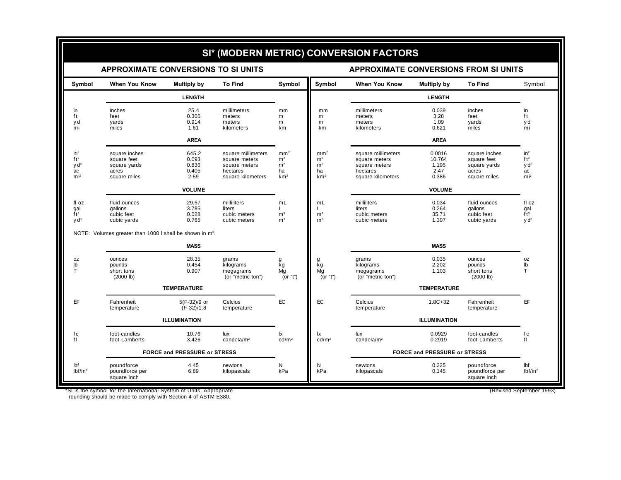|                                                                                 |                                                                       |                                          |                                                                                       |                                                                              |                                                                              | SI* (MODERN METRIC) CONVERSION FACTORS                                                |                                            |                                                                       |                                                                        |
|---------------------------------------------------------------------------------|-----------------------------------------------------------------------|------------------------------------------|---------------------------------------------------------------------------------------|------------------------------------------------------------------------------|------------------------------------------------------------------------------|---------------------------------------------------------------------------------------|--------------------------------------------|-----------------------------------------------------------------------|------------------------------------------------------------------------|
|                                                                                 | <b>APPROXIMATE CONVERSIONS TO SI UNITS</b>                            |                                          |                                                                                       |                                                                              |                                                                              | <b>APPROXIMATE CONVERSIONS FROM SI UNITS</b>                                          |                                            |                                                                       |                                                                        |
| Symbol                                                                          | <b>When You Know</b>                                                  | Multiply by                              | <b>To Find</b>                                                                        | Symbol                                                                       | Symbol                                                                       | <b>When You Know</b>                                                                  | Multiply by                                | <b>To Find</b>                                                        | Symbol                                                                 |
|                                                                                 |                                                                       | <b>LENGTH</b>                            |                                                                                       |                                                                              |                                                                              |                                                                                       | <b>LENGTH</b>                              |                                                                       |                                                                        |
| in<br>ft<br>y d<br>mi                                                           | inches<br>feet<br>yards<br>miles                                      | 25.4<br>0.305<br>0.914<br>1.61           | millimeters<br>meters<br>meters<br>kilometers                                         | mm<br>m<br>m<br>km                                                           | mm<br>m<br>m<br>km                                                           | millimeters<br>meters<br>meters<br>kilometers                                         | 0.039<br>3.28<br>1.09<br>0.621             | inches<br>feet<br>yards<br>miles                                      | in<br>ft<br>y d<br>mi                                                  |
|                                                                                 |                                                                       | <b>AREA</b>                              |                                                                                       |                                                                              |                                                                              |                                                                                       | <b>AREA</b>                                |                                                                       |                                                                        |
| in <sup>2</sup><br>ft <sup>2</sup><br>y d <sup>2</sup><br>ac<br>mi <sup>2</sup> | square inches<br>square feet<br>square yards<br>acres<br>square miles | 645.2<br>0.093<br>0.836<br>0.405<br>2.59 | square millimeters<br>square meters<br>square meters<br>hectares<br>square kilometers | mm <sup>2</sup><br>m <sup>2</sup><br>m <sup>2</sup><br>ha<br>km <sup>2</sup> | mm <sup>2</sup><br>m <sup>2</sup><br>m <sup>2</sup><br>ha<br>km <sup>2</sup> | square millimeters<br>square meters<br>square meters<br>hectares<br>square kilometers | 0.0016<br>10.764<br>1.195<br>2.47<br>0.386 | square inches<br>square feet<br>square yards<br>acres<br>square miles | $in^2$<br>ft <sup>2</sup><br>y d <sup>2</sup><br>ac<br>mi <sup>2</sup> |
|                                                                                 |                                                                       | <b>VOLUME</b>                            |                                                                                       |                                                                              |                                                                              |                                                                                       | <b>VOLUME</b>                              |                                                                       |                                                                        |
| fl oz<br>gal<br>ft <sup>3</sup><br>y d <sup>3</sup>                             | fluid ounces<br>qallons<br>cubic feet<br>cubic yards                  | 29.57<br>3.785<br>0.028<br>0.765         | milliliters<br>liters<br>cubic meters<br>cubic meters                                 | mL<br>L.<br>m <sup>3</sup><br>m <sup>3</sup>                                 | mL<br>L.<br>m <sup>3</sup><br>m <sup>3</sup>                                 | milliliters<br>liters<br>cubic meters<br>cubic meters                                 | 0.034<br>0.264<br>35.71<br>1.307           | fluid ounces<br>qallons<br>cubic feet<br>cubic yards                  | fl oz<br>gal<br>$\overline{f}t^3$<br>V d <sup>3</sup>                  |
|                                                                                 | NOTE: Volumes greater than 1000 I shall be shown in m <sup>3</sup> .  |                                          |                                                                                       |                                                                              |                                                                              |                                                                                       |                                            |                                                                       |                                                                        |
|                                                                                 |                                                                       | <b>MASS</b>                              |                                                                                       |                                                                              |                                                                              |                                                                                       | <b>MASS</b>                                |                                                                       |                                                                        |
| 0Z<br>$\mathsf{lb}$<br>т                                                        | ounces<br>pounds<br>short tons<br>(2000 lb)                           | 28.35<br>0.454<br>0.907                  | grams<br>kilograms<br>megagrams<br>(or "metric ton")                                  | kg<br>Mq<br>(or "t")                                                         | g<br>kg<br>Mg<br>(or "t")                                                    | grams<br>kilograms<br>megagrams<br>(or "metric ton")                                  | 0.035<br>2.202<br>1.103                    | ounces<br>pounds<br>short tons<br>(2000 lb)                           | 0Z<br>lb<br>т                                                          |
|                                                                                 |                                                                       | <b>TEMPERATURE</b>                       |                                                                                       |                                                                              |                                                                              |                                                                                       | <b>TEMPERATURE</b>                         |                                                                       |                                                                        |
| ΕF                                                                              | Fahrenheit<br>temperature                                             | $5(F-32)/9$ or<br>$(F-32)/1.8$           | Celcius<br>temperature                                                                | <b>EC</b>                                                                    | EC                                                                           | Celcius<br>temperature                                                                | $1.8C + 32$                                | Fahrenheit<br>temperature                                             | EF.                                                                    |
|                                                                                 |                                                                       | <b>ILLUMINATION</b>                      |                                                                                       |                                                                              |                                                                              |                                                                                       | <b>ILLUMINATION</b>                        |                                                                       |                                                                        |
| fc<br>fl                                                                        | foot-candles<br>foot-Lamberts                                         | 10.76<br>3.426                           | lux<br>candela/ $m2$                                                                  | lx<br>cd/m <sup>2</sup>                                                      | 1x<br>cd/m <sup>2</sup>                                                      | lux<br>candela/ $m2$                                                                  | 0.0929<br>0.2919                           | foot-candles<br>foot-Lamberts                                         | fc<br>fl                                                               |
|                                                                                 | FORCE and PRESSURE or STRESS                                          |                                          |                                                                                       |                                                                              |                                                                              | FORCE and PRESSURE or STRESS                                                          |                                            |                                                                       |                                                                        |
| lbf<br>lbf/in <sup>2</sup>                                                      | poundforce<br>poundforce per<br>square inch                           | 4.45<br>6.89                             | newtons<br>kilopascals                                                                | N<br>kPa                                                                     | N<br>kPa                                                                     | newtons<br>kilopascals                                                                | 0.225<br>0.145                             | poundforce<br>poundforce per<br>square inch                           | lbf<br>lbf/in <sup>2</sup>                                             |

\*SI is the symbol for the International System of Units. Appropriate (Revised September 1993) rounding should be made to comply with Section 4 of ASTM E380.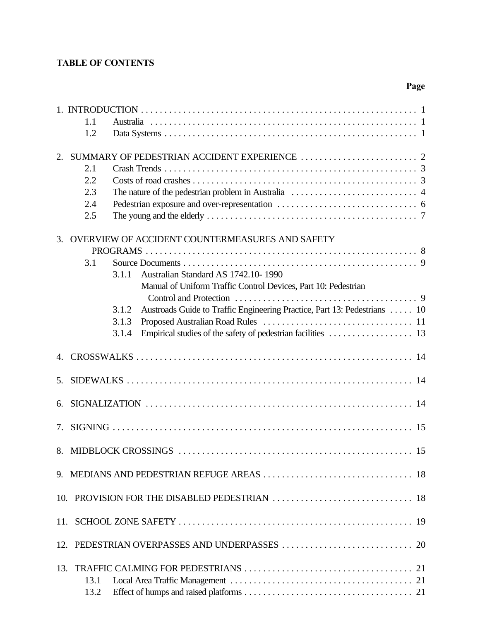## **TABLE OF CONTENTS**

## **Page**

|    | 1.1<br>1.2                                                                                                                                                                                                                                                                       |
|----|----------------------------------------------------------------------------------------------------------------------------------------------------------------------------------------------------------------------------------------------------------------------------------|
| 2. | 2.1<br>2.2<br>2.3<br>2.4<br>2.5                                                                                                                                                                                                                                                  |
| 3. | OVERVIEW OF ACCIDENT COUNTERMEASURES AND SAFETY<br>3.1<br>Australian Standard AS 1742.10-1990<br>3.1.1<br>Manual of Uniform Traffic Control Devices, Part 10: Pedestrian<br>Austroads Guide to Traffic Engineering Practice, Part 13: Pedestrians  10<br>3.1.2<br>3.1.3<br>3.1.4 |
|    |                                                                                                                                                                                                                                                                                  |
| 5. |                                                                                                                                                                                                                                                                                  |
| 6. |                                                                                                                                                                                                                                                                                  |
| 7. |                                                                                                                                                                                                                                                                                  |
|    |                                                                                                                                                                                                                                                                                  |
|    |                                                                                                                                                                                                                                                                                  |
|    |                                                                                                                                                                                                                                                                                  |
|    |                                                                                                                                                                                                                                                                                  |
|    |                                                                                                                                                                                                                                                                                  |
|    | 13.1<br>13.2                                                                                                                                                                                                                                                                     |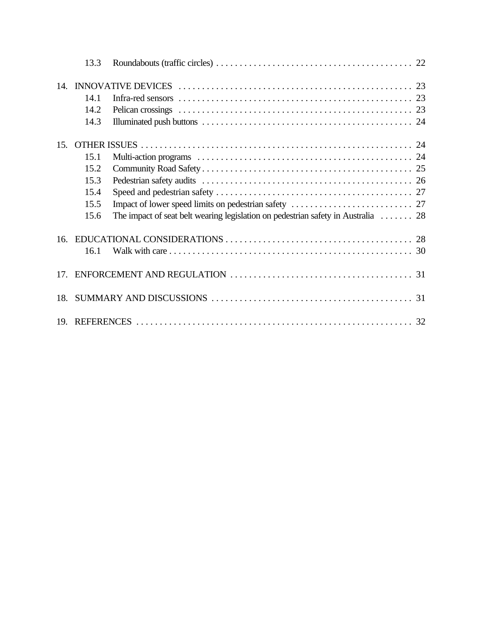|     | 13.3 |                                                                                                |  |
|-----|------|------------------------------------------------------------------------------------------------|--|
|     |      |                                                                                                |  |
|     | 14.1 |                                                                                                |  |
|     | 14.2 |                                                                                                |  |
|     | 14.3 |                                                                                                |  |
| 15. |      |                                                                                                |  |
|     | 15.1 |                                                                                                |  |
|     | 15.2 |                                                                                                |  |
|     | 15.3 |                                                                                                |  |
|     | 15.4 |                                                                                                |  |
|     | 15.5 |                                                                                                |  |
|     | 15.6 | The impact of seat belt wearing legislation on pedestrian safety in Australia $\dots \dots 28$ |  |
| 16. |      |                                                                                                |  |
|     | 16.1 |                                                                                                |  |
| 17. |      |                                                                                                |  |
| 18. |      |                                                                                                |  |
|     |      |                                                                                                |  |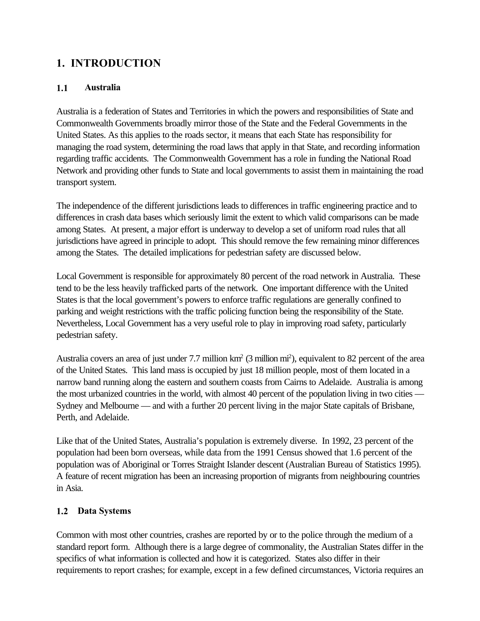## <span id="page-6-0"></span>**1. INTRODUCTION**

## **1.1 Australia**

Australia is a federation of States and Territories in which the powers and responsibilities of State and Commonwealth Governments broadly mirror those of the State and the Federal Governments in the United States. As this applies to the roads sector, it means that each State has responsibility for managing the road system, determining the road laws that apply in that State, and recording information regarding traffic accidents. The Commonwealth Government has a role in funding the National Road Network and providing other funds to State and local governments to assist them in maintaining the road transport system.

The independence of the different jurisdictions leads to differences in traffic engineering practice and to differences in crash data bases which seriously limit the extent to which valid comparisons can be made among States. At present, a major effort is underway to develop a set of uniform road rules that all jurisdictions have agreed in principle to adopt. This should remove the few remaining minor differences among the States. The detailed implications for pedestrian safety are discussed below.

Local Government is responsible for approximately 80 percent of the road network in Australia. These tend to be the less heavily trafficked parts of the network. One important difference with the United States is that the local government's powers to enforce traffic regulations are generally confined to parking and weight restrictions with the traffic policing function being the responsibility of the State. Nevertheless, Local Government has a very useful role to play in improving road safety, particularly pedestrian safety.

Australia covers an area of just under 7.7 million  $km^2$  (3 million mi<sup>2</sup>), equivalent to 82 percent of the area of the United States. This land mass is occupied by just 18 million people, most of them located in a narrow band running along the eastern and southern coasts from Cairns to Adelaide. Australia is among the most urbanized countries in the world, with almost 40 percent of the population living in two cities — Sydney and Melbourne — and with a further 20 percent living in the major State capitals of Brisbane, Perth, and Adelaide.

Like that of the United States, Australia's population is extremely diverse. In 1992, 23 percent of the population had been born overseas, while data from the 1991 Census showed that 1.6 percent of the population was of Aboriginal or Torres Straight Islander descent (Australian Bureau of Statistics 1995). A feature of recent migration has been an increasing proportion of migrants from neighbouring countries in Asia.

## **1.2 Data Systems**

Common with most other countries, crashes are reported by or to the police through the medium of a standard report form. Although there is a large degree of commonality, the Australian States differ in the specifics of what information is collected and how it is categorized. States also differ in their requirements to report crashes; for example, except in a few defined circumstances, Victoria requires an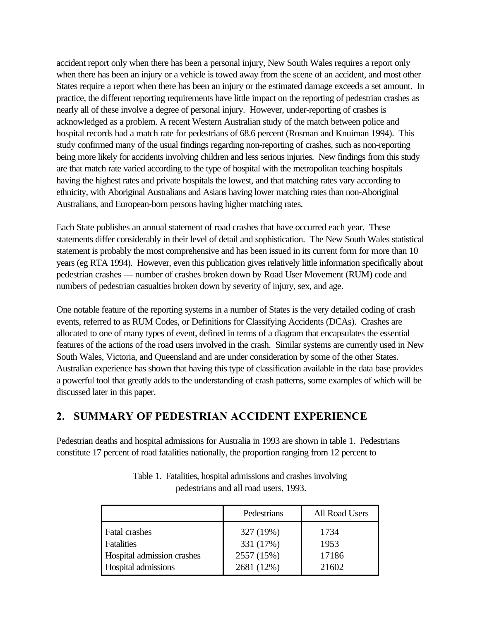<span id="page-7-0"></span>accident report only when there has been a personal injury, New South Wales requires a report only when there has been an injury or a vehicle is towed away from the scene of an accident, and most other States require a report when there has been an injury or the estimated damage exceeds a set amount. In practice, the different reporting requirements have little impact on the reporting of pedestrian crashes as nearly all of these involve a degree of personal injury. However, under-reporting of crashes is acknowledged as a problem. A recent Western Australian study of the match between police and hospital records had a match rate for pedestrians of 68.6 percent (Rosman and Knuiman 1994). This study confirmed many of the usual findings regarding non-reporting of crashes, such as non-reporting being more likely for accidents involving children and less serious injuries. New findings from this study are that match rate varied according to the type of hospital with the metropolitan teaching hospitals having the highest rates and private hospitals the lowest, and that matching rates vary according to ethnicity, with Aboriginal Australians and Asians having lower matching rates than non-Aboriginal Australians, and European-born persons having higher matching rates.

Each State publishes an annual statement of road crashes that have occurred each year. These statements differ considerably in their level of detail and sophistication. The New South Wales statistical statement is probably the most comprehensive and has been issued in its current form for more than 10 years (eg RTA 1994). However, even this publication gives relatively little information specifically about pedestrian crashes — number of crashes broken down by Road User Movement (RUM) code and numbers of pedestrian casualties broken down by severity of injury, sex, and age.

One notable feature of the reporting systems in a number of States is the very detailed coding of crash events, referred to as RUM Codes, or Definitions for Classifying Accidents (DCAs). Crashes are allocated to one of many types of event, defined in terms of a diagram that encapsulates the essential features of the actions of the road users involved in the crash. Similar systems are currently used in New South Wales, Victoria, and Queensland and are under consideration by some of the other States. Australian experience has shown that having this type of classification available in the data base provides a powerful tool that greatly adds to the understanding of crash patterns, some examples of which will be discussed later in this paper.

## **2. SUMMARY OF PEDESTRIAN ACCIDENT EXPERIENCE**

Pedestrian deaths and hospital admissions for Australia in 1993 are shown in table 1. Pedestrians constitute 17 percent of road fatalities nationally, the proportion ranging from 12 percent to

|                            | Pedestrians | All Road Users |
|----------------------------|-------------|----------------|
| <b>Fatal crashes</b>       | 327 (19%)   | 1734           |
| Fatalities                 | 331 (17%)   | 1953           |
| Hospital admission crashes | 2557 (15%)  | 17186          |
| Hospital admissions        | 2681 (12%)  | 21602          |

Table 1. Fatalities, hospital admissions and crashes involving pedestrians and all road users, 1993.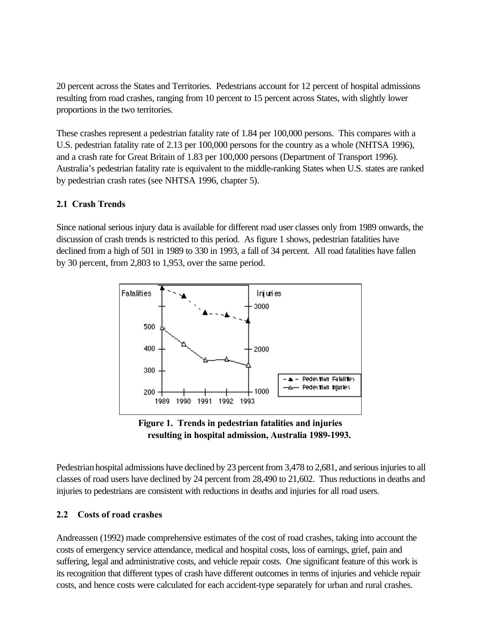<span id="page-8-0"></span>20 percent across the States and Territories. Pedestrians account for 12 percent of hospital admissions resulting from road crashes, ranging from 10 percent to 15 percent across States, with slightly lower proportions in the two territories.

These crashes represent a pedestrian fatality rate of 1.84 per 100,000 persons. This compares with a U.S. pedestrian fatality rate of 2.13 per 100,000 persons for the country as a whole (NHTSA 1996), and a crash rate for Great Britain of 1.83 per 100,000 persons (Department of Transport 1996). Australia's pedestrian fatality rate is equivalent to the middle-ranking States when U.S. states are ranked by pedestrian crash rates (see NHTSA 1996, chapter 5).

## **2.1 Crash Trends**

Since national serious injury data is available for different road user classes only from 1989 onwards, the discussion of crash trends is restricted to this period. As figure 1 shows, pedestrian fatalities have declined from a high of 501 in 1989 to 330 in 1993, a fall of 34 percent. All road fatalities have fallen by 30 percent, from 2,803 to 1,953, over the same period.



**Figure 1. Trends in pedestrian fatalities and injuries resulting in hospital admission, Australia 1989-1993.**

Pedestrian hospital admissions have declined by 23 percent from 3,478 to 2,681, and serious injuries to all classes of road users have declined by 24 percent from 28,490 to 21,602. Thus reductions in deaths and injuries to pedestrians are consistent with reductions in deaths and injuries for all road users.

## **2.2 Costs of road crashes**

Andreassen (1992) made comprehensive estimates of the cost of road crashes, taking into account the costs of emergency service attendance, medical and hospital costs, loss of earnings, grief, pain and suffering, legal and administrative costs, and vehicle repair costs. One significant feature of this work is its recognition that different types of crash have different outcomes in terms of injuries and vehicle repair costs, and hence costs were calculated for each accident-type separately for urban and rural crashes.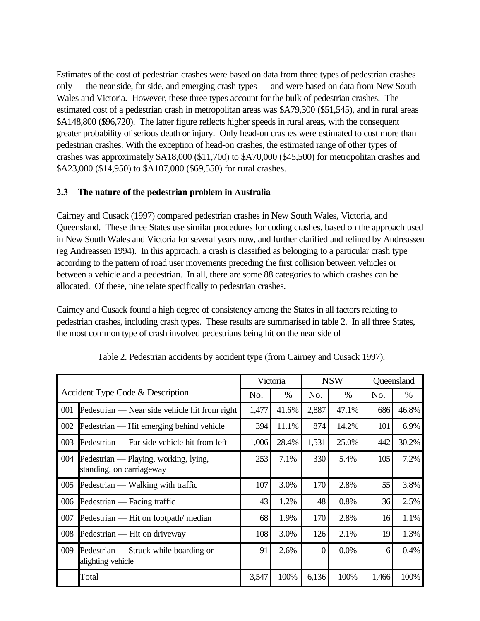<span id="page-9-0"></span>Estimates of the cost of pedestrian crashes were based on data from three types of pedestrian crashes only — the near side, far side, and emerging crash types — and were based on data from New South Wales and Victoria. However, these three types account for the bulk of pedestrian crashes. The estimated cost of a pedestrian crash in metropolitan areas was \$A79,300 (\$51,545), and in rural areas \$A148,800 (\$96,720). The latter figure reflects higher speeds in rural areas, with the consequent greater probability of serious death or injury. Only head-on crashes were estimated to cost more than pedestrian crashes. With the exception of head-on crashes, the estimated range of other types of crashes was approximately \$A18,000 (\$11,700) to \$A70,000 (\$45,500) for metropolitan crashes and \$A23,000 (\$14,950) to \$A107,000 (\$69,550) for rural crashes.

## **2.3 The nature of the pedestrian problem in Australia**

Cairney and Cusack (1997) compared pedestrian crashes in New South Wales, Victoria, and Queensland. These three States use similar procedures for coding crashes, based on the approach used in New South Wales and Victoria for several years now, and further clarified and refined by Andreassen (eg Andreassen 1994). In this approach, a crash is classified as belonging to a particular crash type according to the pattern of road user movements preceding the first collision between vehicles or between a vehicle and a pedestrian. In all, there are some 88 categories to which crashes can be allocated. Of these, nine relate specifically to pedestrian crashes.

Cairney and Cusack found a high degree of consistency among the States in all factors relating to pedestrian crashes, including crash types. These results are summarised in table 2. In all three States, the most common type of crash involved pedestrians being hit on the near side of

|     |                                                                   | Victoria |       | <b>NSW</b>     |       | Queensland |       |
|-----|-------------------------------------------------------------------|----------|-------|----------------|-------|------------|-------|
|     | Accident Type Code & Description                                  | No.      | $\%$  | No.            | $\%$  | No.        | $\%$  |
| 001 | Pedestrian — Near side vehicle hit from right                     | 1,477    | 41.6% | 2,887          | 47.1% | 686        | 46.8% |
| 002 | Pedestrian — Hit emerging behind vehicle                          | 394      | 11.1% | 874            | 14.2% | 101        | 6.9%  |
| 003 | Pedestrian — Far side vehicle hit from left                       | 1,006    | 28.4% | 1,531          | 25.0% | 442        | 30.2% |
| 004 | Pedestrian — Playing, working, lying,<br>standing, on carriageway | 253      | 7.1%  | 330            | 5.4%  | 105        | 7.2%  |
| 005 | Pedestrian — Walking with traffic                                 | 107      | 3.0%  | 170            | 2.8%  | 55         | 3.8%  |
| 006 | Pedestrian — Facing traffic                                       | 43       | 1.2%  | 48             | 0.8%  | 36         | 2.5%  |
| 007 | Pedestrian — Hit on footpath/ median                              | 68       | 1.9%  | 170            | 2.8%  | 16         | 1.1%  |
| 008 | Pedestrian — Hit on driveway                                      | 108      | 3.0%  | 126            | 2.1%  | 19         | 1.3%  |
| 009 | Pedestrian — Struck while boarding or<br>alighting vehicle        | 91       | 2.6%  | $\overline{0}$ | 0.0%  | 6          | 0.4%  |
|     | Total                                                             | 3,547    | 100%  | 6,136          | 100%  | 1,466      | 100%  |

Table 2. Pedestrian accidents by accident type (from Cairney and Cusack 1997).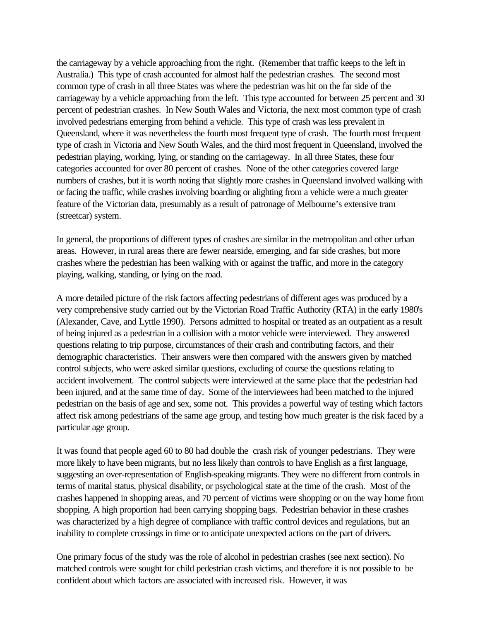the carriageway by a vehicle approaching from the right. (Remember that traffic keeps to the left in Australia.) This type of crash accounted for almost half the pedestrian crashes. The second most common type of crash in all three States was where the pedestrian was hit on the far side of the carriageway by a vehicle approaching from the left. This type accounted for between 25 percent and 30 percent of pedestrian crashes. In New South Wales and Victoria, the next most common type of crash involved pedestrians emerging from behind a vehicle. This type of crash was less prevalent in Queensland, where it was nevertheless the fourth most frequent type of crash. The fourth most frequent type of crash in Victoria and New South Wales, and the third most frequent in Queensland, involved the pedestrian playing, working, lying, or standing on the carriageway. In all three States, these four categories accounted for over 80 percent of crashes. None of the other categories covered large numbers of crashes, but it is worth noting that slightly more crashes in Queensland involved walking with or facing the traffic, while crashes involving boarding or alighting from a vehicle were a much greater feature of the Victorian data, presumably as a result of patronage of Melbourne's extensive tram (streetcar) system.

In general, the proportions of different types of crashes are similar in the metropolitan and other urban areas. However, in rural areas there are fewer nearside, emerging, and far side crashes, but more crashes where the pedestrian has been walking with or against the traffic, and more in the category playing, walking, standing, or lying on the road.

A more detailed picture of the risk factors affecting pedestrians of different ages was produced by a very comprehensive study carried out by the Victorian Road Traffic Authority (RTA) in the early 1980's (Alexander, Cave, and Lyttle 1990). Persons admitted to hospital or treated as an outpatient as a result of being injured as a pedestrian in a collision with a motor vehicle were interviewed. They answered questions relating to trip purpose, circumstances of their crash and contributing factors, and their demographic characteristics. Their answers were then compared with the answers given by matched control subjects, who were asked similar questions, excluding of course the questions relating to accident involvement. The control subjects were interviewed at the same place that the pedestrian had been injured, and at the same time of day. Some of the interviewees had been matched to the injured pedestrian on the basis of age and sex, some not. This provides a powerful way of testing which factors affect risk among pedestrians of the same age group, and testing how much greater is the risk faced by a particular age group.

It was found that people aged 60 to 80 had double the crash risk of younger pedestrians. They were more likely to have been migrants, but no less likely than controls to have English as a first language, suggesting an over-representation of English-speaking migrants. They were no different from controls in terms of marital status, physical disability, or psychological state at the time of the crash. Most of the crashes happened in shopping areas, and 70 percent of victims were shopping or on the way home from shopping. A high proportion had been carrying shopping bags. Pedestrian behavior in these crashes was characterized by a high degree of compliance with traffic control devices and regulations, but an inability to complete crossings in time or to anticipate unexpected actions on the part of drivers.

One primary focus of the study was the role of alcohol in pedestrian crashes (see next section). No matched controls were sought for child pedestrian crash victims, and therefore it is not possible to be confident about which factors are associated with increased risk. However, it was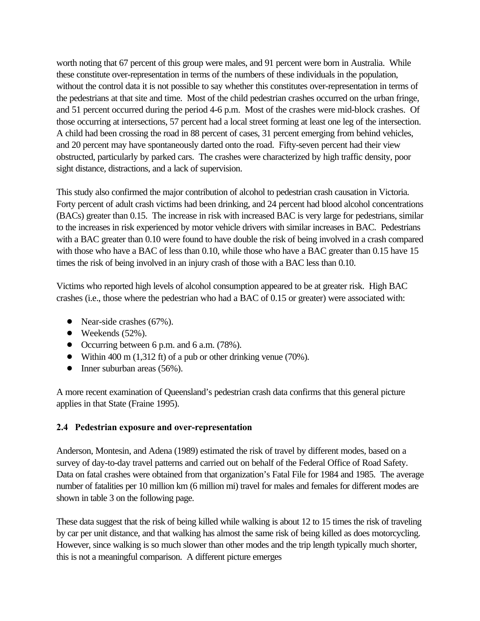<span id="page-11-0"></span>worth noting that 67 percent of this group were males, and 91 percent were born in Australia. While these constitute over-representation in terms of the numbers of these individuals in the population, without the control data it is not possible to say whether this constitutes over-representation in terms of the pedestrians at that site and time. Most of the child pedestrian crashes occurred on the urban fringe, and 51 percent occurred during the period 4-6 p.m. Most of the crashes were mid-block crashes. Of those occurring at intersections, 57 percent had a local street forming at least one leg of the intersection. A child had been crossing the road in 88 percent of cases, 31 percent emerging from behind vehicles, and 20 percent may have spontaneously darted onto the road. Fifty-seven percent had their view obstructed, particularly by parked cars. The crashes were characterized by high traffic density, poor sight distance, distractions, and a lack of supervision.

This study also confirmed the major contribution of alcohol to pedestrian crash causation in Victoria. Forty percent of adult crash victims had been drinking, and 24 percent had blood alcohol concentrations (BACs) greater than 0.15. The increase in risk with increased BAC is very large for pedestrians, similar to the increases in risk experienced by motor vehicle drivers with similar increases in BAC. Pedestrians with a BAC greater than  $0.10$  were found to have double the risk of being involved in a crash compared with those who have a BAC of less than 0.10, while those who have a BAC greater than 0.15 have 15 times the risk of being involved in an injury crash of those with a BAC less than 0.10.

Victims who reported high levels of alcohol consumption appeared to be at greater risk. High BAC crashes (i.e., those where the pedestrian who had a BAC of 0.15 or greater) were associated with:

- Near-side crashes  $(67\%)$ .
- $\bullet$  Weekends (52%).
- Occurring between 6 p.m. and 6 a.m. (78%).
- Within 400 m (1,312 ft) of a pub or other drinking venue (70%).
- $\bullet$  Inner suburban areas (56%).

A more recent examination of Queensland's pedestrian crash data confirms that this general picture applies in that State (Fraine 1995).

## **2.4 Pedestrian exposure and over-representation**

Anderson, Montesin, and Adena (1989) estimated the risk of travel by different modes, based on a survey of day-to-day travel patterns and carried out on behalf of the Federal Office of Road Safety. Data on fatal crashes were obtained from that organization's Fatal File for 1984 and 1985. The average number of fatalities per 10 million km (6 million mi) travel for males and females for different modes are shown in table 3 on the following page.

These data suggest that the risk of being killed while walking is about 12 to 15 times the risk of traveling by car per unit distance, and that walking has almost the same risk of being killed as does motorcycling. However, since walking is so much slower than other modes and the trip length typically much shorter, this is not a meaningful comparison. A different picture emerges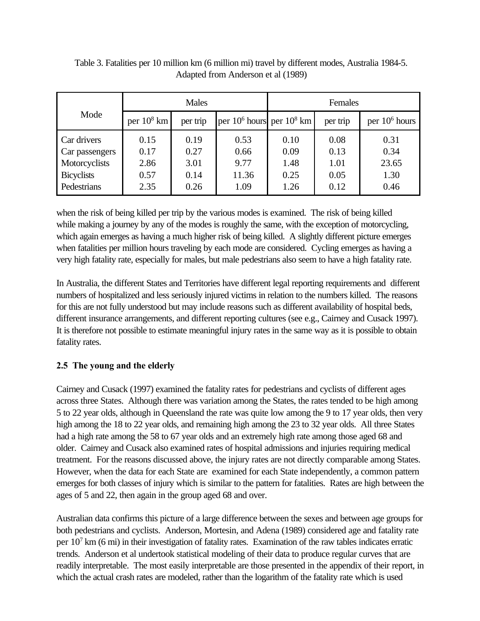|                   | <b>Males</b>  |          |                                | Females |          |                  |  |
|-------------------|---------------|----------|--------------------------------|---------|----------|------------------|--|
| Mode              | per $10^8$ km | per trip | per $10^6$ hours per $10^8$ km |         | per trip | per $10^6$ hours |  |
| Car drivers       | 0.15          | 0.19     | 0.53                           | 0.10    | 0.08     | 0.31             |  |
| Car passengers    | 0.17          | 0.27     | 0.66                           | 0.09    | 0.13     | 0.34             |  |
| Motorcyclists     | 2.86          | 3.01     | 9.77                           | 1.48    | 1.01     | 23.65            |  |
| <b>Bicyclists</b> | 0.57          | 0.14     | 11.36                          | 0.25    | 0.05     | 1.30             |  |
| Pedestrians       | 2.35          | 0.26     | 1.09                           | 1.26    | 0.12     | 0.46             |  |

<span id="page-12-0"></span>Table 3. Fatalities per 10 million km (6 million mi) travel by different modes, Australia 1984-5. Adapted from Anderson et al (1989)

when the risk of being killed per trip by the various modes is examined. The risk of being killed while making a journey by any of the modes is roughly the same, with the exception of motorcycling, which again emerges as having a much higher risk of being killed. A slightly different picture emerges when fatalities per million hours traveling by each mode are considered. Cycling emerges as having a very high fatality rate, especially for males, but male pedestrians also seem to have a high fatality rate.

In Australia, the different States and Territories have different legal reporting requirements and different numbers of hospitalized and less seriously injured victims in relation to the numbers killed. The reasons for this are not fully understood but may include reasons such as different availability of hospital beds, different insurance arrangements, and different reporting cultures (see e.g., Cairney and Cusack 1997). It is therefore not possible to estimate meaningful injury rates in the same way as it is possible to obtain fatality rates.

## **2.5 The young and the elderly**

Cairney and Cusack (1997) examined the fatality rates for pedestrians and cyclists of different ages across three States. Although there was variation among the States, the rates tended to be high among 5 to 22 year olds, although in Queensland the rate was quite low among the 9 to 17 year olds, then very high among the 18 to 22 year olds, and remaining high among the 23 to 32 year olds. All three States had a high rate among the 58 to 67 year olds and an extremely high rate among those aged 68 and older. Cairney and Cusack also examined rates of hospital admissions and injuries requiring medical treatment. For the reasons discussed above, the injury rates are not directly comparable among States. However, when the data for each State are examined for each State independently, a common pattern emerges for both classes of injury which is similar to the pattern for fatalities. Rates are high between the ages of 5 and 22, then again in the group aged 68 and over.

Australian data confirms this picture of a large difference between the sexes and between age groups for both pedestrians and cyclists. Anderson, Mortesin, and Adena (1989) considered age and fatality rate per  $10<sup>7</sup>$  km (6 mi) in their investigation of fatality rates. Examination of the raw tables indicates erratic trends. Anderson et al undertook statistical modeling of their data to produce regular curves that are readily interpretable. The most easily interpretable are those presented in the appendix of their report, in which the actual crash rates are modeled, rather than the logarithm of the fatality rate which is used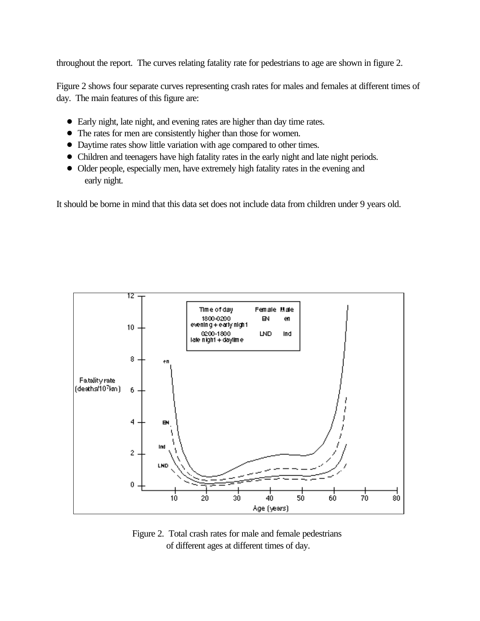throughout the report. The curves relating fatality rate for pedestrians to age are shown in figure 2.

Figure 2 shows four separate curves representing crash rates for males and females at different times of day. The main features of this figure are:

- ! Early night, late night, and evening rates are higher than day time rates.
- The rates for men are consistently higher than those for women.
- ! Daytime rates show little variation with age compared to other times.
- ! Children and teenagers have high fatality rates in the early night and late night periods.
- Older people, especially men, have extremely high fatality rates in the evening and early night.

It should be borne in mind that this data set does not include data from children under 9 years old.



Figure 2. Total crash rates for male and female pedestrians of different ages at different times of day.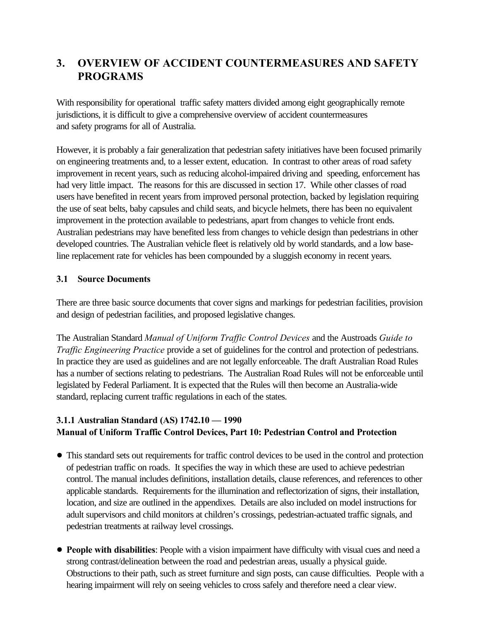## <span id="page-14-0"></span>**3. OVERVIEW OF ACCIDENT COUNTERMEASURES AND SAFETY PROGRAMS**

With responsibility for operational traffic safety matters divided among eight geographically remote jurisdictions, it is difficult to give a comprehensive overview of accident countermeasures and safety programs for all of Australia.

However, it is probably a fair generalization that pedestrian safety initiatives have been focused primarily on engineering treatments and, to a lesser extent, education. In contrast to other areas of road safety improvement in recent years, such as reducing alcohol-impaired driving and speeding, enforcement has had very little impact. The reasons for this are discussed in section 17. While other classes of road users have benefited in recent years from improved personal protection, backed by legislation requiring the use of seat belts, baby capsules and child seats, and bicycle helmets, there has been no equivalent improvement in the protection available to pedestrians, apart from changes to vehicle front ends. Australian pedestrians may have benefited less from changes to vehicle design than pedestrians in other developed countries. The Australian vehicle fleet is relatively old by world standards, and a low baseline replacement rate for vehicles has been compounded by a sluggish economy in recent years.

## **3.1 Source Documents**

There are three basic source documents that cover signs and markings for pedestrian facilities, provision and design of pedestrian facilities, and proposed legislative changes.

The Australian Standard *Manual of Uniform Traffic Control Devices* and the Austroads *Guide to Traffic Engineering Practice* provide a set of guidelines for the control and protection of pedestrians. In practice they are used as guidelines and are not legally enforceable. The draft Australian Road Rules has a number of sections relating to pedestrians. The Australian Road Rules will not be enforceable until legislated by Federal Parliament. It is expected that the Rules will then become an Australia-wide standard, replacing current traffic regulations in each of the states.

## **3.1.1 Australian Standard (AS) 1742.10 — 1990 Manual of Uniform Traffic Control Devices, Part 10: Pedestrian Control and Protection**

- ! This standard sets out requirements for traffic control devices to be used in the control and protection of pedestrian traffic on roads. It specifies the way in which these are used to achieve pedestrian control. The manual includes definitions, installation details, clause references, and references to other applicable standards. Requirements for the illumination and reflectorization of signs, their installation, location, and size are outlined in the appendixes. Details are also included on model instructions for adult supervisors and child monitors at children's crossings, pedestrian-actuated traffic signals, and pedestrian treatments at railway level crossings.
- ! **People with disabilities**: People with a vision impairment have difficulty with visual cues and need a strong contrast/delineation between the road and pedestrian areas, usually a physical guide. Obstructions to their path, such as street furniture and sign posts, can cause difficulties. People with a hearing impairment will rely on seeing vehicles to cross safely and therefore need a clear view.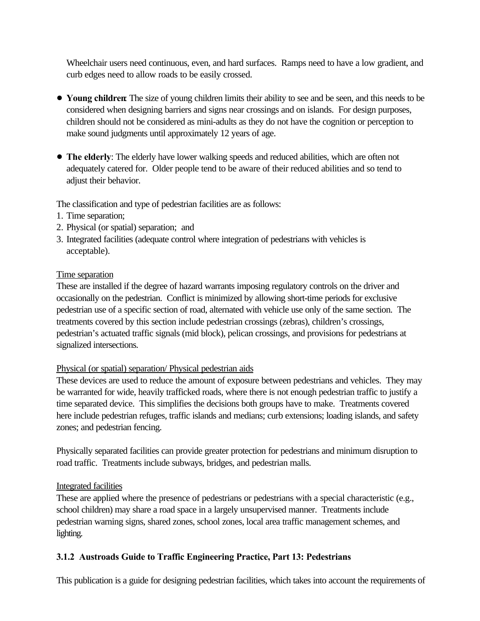<span id="page-15-0"></span>Wheelchair users need continuous, even, and hard surfaces. Ramps need to have a low gradient, and curb edges need to allow roads to be easily crossed.

- ! **Young children**: The size of young children limits their ability to see and be seen, and this needs to be considered when designing barriers and signs near crossings and on islands. For design purposes, children should not be considered as mini-adults as they do not have the cognition or perception to make sound judgments until approximately 12 years of age.
- ! **The elderly**: The elderly have lower walking speeds and reduced abilities, which are often not adequately catered for. Older people tend to be aware of their reduced abilities and so tend to adjust their behavior.

The classification and type of pedestrian facilities are as follows:

- 1. Time separation;
- 2. Physical (or spatial) separation; and
- 3. Integrated facilities (adequate control where integration of pedestrians with vehicles is acceptable).

## Time separation

These are installed if the degree of hazard warrants imposing regulatory controls on the driver and occasionally on the pedestrian. Conflict is minimized by allowing short-time periods for exclusive pedestrian use of a specific section of road, alternated with vehicle use only of the same section. The treatments covered by this section include pedestrian crossings (zebras), children's crossings, pedestrian's actuated traffic signals (mid block), pelican crossings, and provisions for pedestrians at signalized intersections.

## Physical (or spatial) separation/ Physical pedestrian aids

These devices are used to reduce the amount of exposure between pedestrians and vehicles. They may be warranted for wide, heavily trafficked roads, where there is not enough pedestrian traffic to justify a time separated device. This simplifies the decisions both groups have to make. Treatments covered here include pedestrian refuges, traffic islands and medians; curb extensions; loading islands, and safety zones; and pedestrian fencing.

Physically separated facilities can provide greater protection for pedestrians and minimum disruption to road traffic. Treatments include subways, bridges, and pedestrian malls.

## Integrated facilities

These are applied where the presence of pedestrians or pedestrians with a special characteristic (e.g., school children) may share a road space in a largely unsupervised manner. Treatments include pedestrian warning signs, shared zones, school zones, local area traffic management schemes, and lighting.

## **3.1.2 Austroads Guide to Traffic Engineering Practice, Part 13: Pedestrians**

This publication is a guide for designing pedestrian facilities, which takes into account the requirements of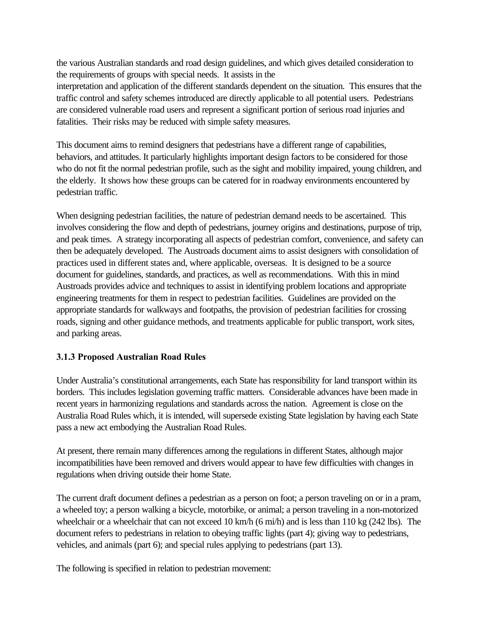<span id="page-16-0"></span>the various Australian standards and road design guidelines, and which gives detailed consideration to the requirements of groups with special needs. It assists in the interpretation and application of the different standards dependent on the situation. This ensures that the traffic control and safety schemes introduced are directly applicable to all potential users. Pedestrians are considered vulnerable road users and represent a significant portion of serious road injuries and fatalities. Their risks may be reduced with simple safety measures.

This document aims to remind designers that pedestrians have a different range of capabilities, behaviors, and attitudes. It particularly highlights important design factors to be considered for those who do not fit the normal pedestrian profile, such as the sight and mobility impaired, young children, and the elderly. It shows how these groups can be catered for in roadway environments encountered by pedestrian traffic.

When designing pedestrian facilities, the nature of pedestrian demand needs to be ascertained. This involves considering the flow and depth of pedestrians, journey origins and destinations, purpose of trip, and peak times. A strategy incorporating all aspects of pedestrian comfort, convenience, and safety can then be adequately developed. The Austroads document aims to assist designers with consolidation of practices used in different states and, where applicable, overseas. It is designed to be a source document for guidelines, standards, and practices, as well as recommendations. With this in mind Austroads provides advice and techniques to assist in identifying problem locations and appropriate engineering treatments for them in respect to pedestrian facilities. Guidelines are provided on the appropriate standards for walkways and footpaths, the provision of pedestrian facilities for crossing roads, signing and other guidance methods, and treatments applicable for public transport, work sites, and parking areas.

## **3.1.3 Proposed Australian Road Rules**

Under Australia's constitutional arrangements, each State has responsibility for land transport within its borders. This includes legislation governing traffic matters. Considerable advances have been made in recent years in harmonizing regulations and standards across the nation. Agreement is close on the Australia Road Rules which, it is intended, will supersede existing State legislation by having each State pass a new act embodying the Australian Road Rules.

At present, there remain many differences among the regulations in different States, although major incompatibilities have been removed and drivers would appear to have few difficulties with changes in regulations when driving outside their home State.

The current draft document defines a pedestrian as a person on foot; a person traveling on or in a pram, a wheeled toy; a person walking a bicycle, motorbike, or animal; a person traveling in a non-motorized wheelchair or a wheelchair that can not exceed 10 km/h (6 mi/h) and is less than 110 kg (242 lbs). The document refers to pedestrians in relation to obeying traffic lights (part 4); giving way to pedestrians, vehicles, and animals (part 6); and special rules applying to pedestrians (part 13).

The following is specified in relation to pedestrian movement: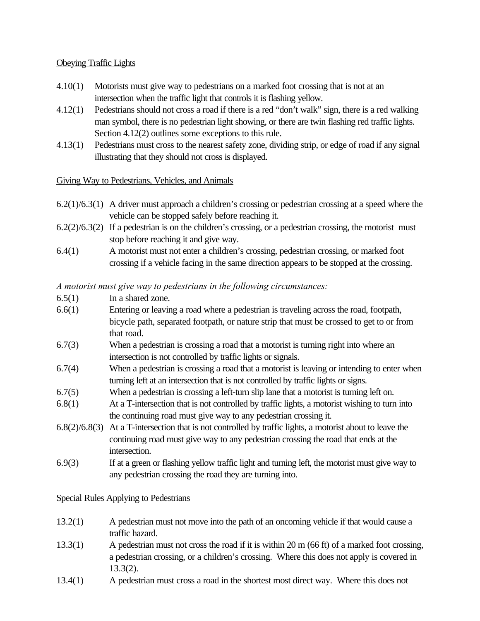#### Obeying Traffic Lights

- 4.10(1) Motorists must give way to pedestrians on a marked foot crossing that is not at an intersection when the traffic light that controls it is flashing yellow.
- 4.12(1) Pedestrians should not cross a road if there is a red "don't walk" sign, there is a red walking man symbol, there is no pedestrian light showing, or there are twin flashing red traffic lights. Section 4.12(2) outlines some exceptions to this rule.
- 4.13(1) Pedestrians must cross to the nearest safety zone, dividing strip, or edge of road if any signal illustrating that they should not cross is displayed.

#### Giving Way to Pedestrians, Vehicles, and Animals

- 6.2(1)/6.3(1) A driver must approach a children's crossing or pedestrian crossing at a speed where the vehicle can be stopped safely before reaching it.
- $6.2(2)/6.3(2)$  If a pedestrian is on the children's crossing, or a pedestrian crossing, the motorist must stop before reaching it and give way.
- 6.4(1) A motorist must not enter a children's crossing, pedestrian crossing, or marked foot crossing if a vehicle facing in the same direction appears to be stopped at the crossing.

#### *A motorist must give way to pedestrians in the following circumstances:*

- 6.5(1) In a shared zone.
- 6.6(1) Entering or leaving a road where a pedestrian is traveling across the road, footpath, bicycle path, separated footpath, or nature strip that must be crossed to get to or from that road.
- 6.7(3) When a pedestrian is crossing a road that a motorist is turning right into where an intersection is not controlled by traffic lights or signals.
- 6.7(4) When a pedestrian is crossing a road that a motorist is leaving or intending to enter when turning left at an intersection that is not controlled by traffic lights or signs.
- 6.7(5) When a pedestrian is crossing a left-turn slip lane that a motorist is turning left on.
- 6.8(1) At a T-intersection that is not controlled by traffic lights, a motorist wishing to turn into the continuing road must give way to any pedestrian crossing it.
- 6.8(2)/6.8(3) At a T-intersection that is not controlled by traffic lights, a motorist about to leave the continuing road must give way to any pedestrian crossing the road that ends at the intersection.
- 6.9(3) If at a green or flashing yellow traffic light and turning left, the motorist must give way to any pedestrian crossing the road they are turning into.

#### Special Rules Applying to Pedestrians

- 13.2(1) A pedestrian must not move into the path of an oncoming vehicle if that would cause a traffic hazard.
- 13.3(1) A pedestrian must not cross the road if it is within 20 m (66 ft) of a marked foot crossing, a pedestrian crossing, or a children's crossing. Where this does not apply is covered in 13.3(2).
- 13.4(1) A pedestrian must cross a road in the shortest most direct way. Where this does not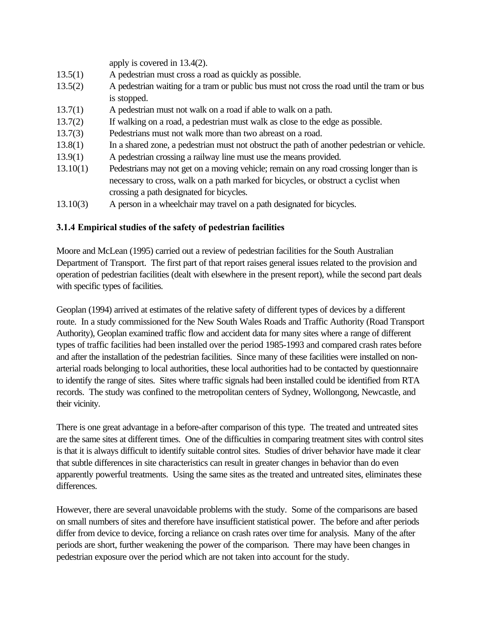<span id="page-18-0"></span>

|          | apply is covered in $13.4(2)$ .                                                             |
|----------|---------------------------------------------------------------------------------------------|
| 13.5(1)  | A pedestrian must cross a road as quickly as possible.                                      |
| 13.5(2)  | A pedestrian waiting for a tram or public bus must not cross the road until the tram or bus |
|          | is stopped.                                                                                 |
| 13.7(1)  | A pedestrian must not walk on a road if able to walk on a path.                             |
| 13.7(2)  | If walking on a road, a pedestrian must walk as close to the edge as possible.              |
| 13.7(3)  | Pedestrians must not walk more than two abreast on a road.                                  |
| 13.8(1)  | In a shared zone, a pedestrian must not obstruct the path of another pedestrian or vehicle. |
| 13.9(1)  | A pedestrian crossing a railway line must use the means provided.                           |
| 13.10(1) | Pedestrians may not get on a moving vehicle; remain on any road crossing longer than is     |
|          | necessary to cross, walk on a path marked for bicycles, or obstruct a cyclist when          |
|          | crossing a path designated for bicycles.                                                    |
| 13.10(3) | A person in a wheelchair may travel on a path designated for bicycles.                      |

## **3.1.4 Empirical studies of the safety of pedestrian facilities**

Moore and McLean (1995) carried out a review of pedestrian facilities for the South Australian Department of Transport. The first part of that report raises general issues related to the provision and operation of pedestrian facilities (dealt with elsewhere in the present report), while the second part deals with specific types of facilities.

Geoplan (1994) arrived at estimates of the relative safety of different types of devices by a different route. In a study commissioned for the New South Wales Roads and Traffic Authority (Road Transport Authority), Geoplan examined traffic flow and accident data for many sites where a range of different types of traffic facilities had been installed over the period 1985-1993 and compared crash rates before and after the installation of the pedestrian facilities. Since many of these facilities were installed on nonarterial roads belonging to local authorities, these local authorities had to be contacted by questionnaire to identify the range of sites. Sites where traffic signals had been installed could be identified from RTA records. The study was confined to the metropolitan centers of Sydney, Wollongong, Newcastle, and their vicinity.

There is one great advantage in a before-after comparison of this type. The treated and untreated sites are the same sites at different times. One of the difficulties in comparing treatment sites with control sites is that it is always difficult to identify suitable control sites. Studies of driver behavior have made it clear that subtle differences in site characteristics can result in greater changes in behavior than do even apparently powerful treatments. Using the same sites as the treated and untreated sites, eliminates these differences.

However, there are several unavoidable problems with the study. Some of the comparisons are based on small numbers of sites and therefore have insufficient statistical power. The before and after periods differ from device to device, forcing a reliance on crash rates over time for analysis. Many of the after periods are short, further weakening the power of the comparison. There may have been changes in pedestrian exposure over the period which are not taken into account for the study.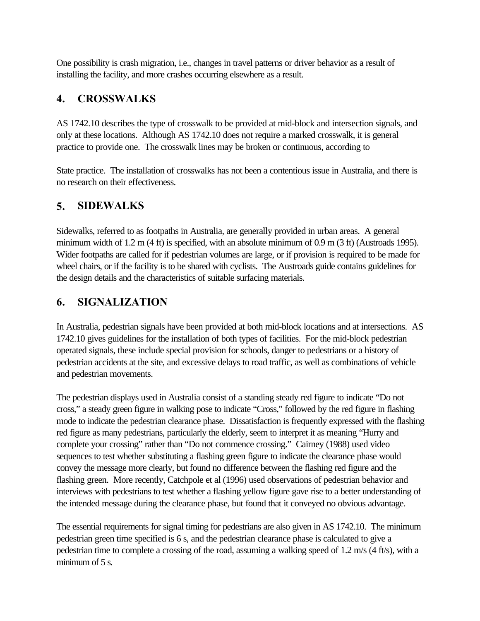<span id="page-19-0"></span>One possibility is crash migration, i.e., changes in travel patterns or driver behavior as a result of installing the facility, and more crashes occurring elsewhere as a result.

## **4. CROSSWALKS**

AS 1742.10 describes the type of crosswalk to be provided at mid-block and intersection signals, and only at these locations. Although AS 1742.10 does not require a marked crosswalk, it is general practice to provide one. The crosswalk lines may be broken or continuous, according to

State practice. The installation of crosswalks has not been a contentious issue in Australia, and there is no research on their effectiveness.

## **5. SIDEWALKS**

Sidewalks, referred to as footpaths in Australia, are generally provided in urban areas. A general minimum width of 1.2 m (4 ft) is specified, with an absolute minimum of 0.9 m (3 ft) (Austroads 1995). Wider footpaths are called for if pedestrian volumes are large, or if provision is required to be made for wheel chairs, or if the facility is to be shared with cyclists. The Austroads guide contains guidelines for the design details and the characteristics of suitable surfacing materials.

## **6. SIGNALIZATION**

In Australia, pedestrian signals have been provided at both mid-block locations and at intersections. AS 1742.10 gives guidelines for the installation of both types of facilities. For the mid-block pedestrian operated signals, these include special provision for schools, danger to pedestrians or a history of pedestrian accidents at the site, and excessive delays to road traffic, as well as combinations of vehicle and pedestrian movements.

The pedestrian displays used in Australia consist of a standing steady red figure to indicate "Do not cross," a steady green figure in walking pose to indicate "Cross," followed by the red figure in flashing mode to indicate the pedestrian clearance phase. Dissatisfaction is frequently expressed with the flashing red figure as many pedestrians, particularly the elderly, seem to interpret it as meaning "Hurry and complete your crossing" rather than "Do not commence crossing." Cairney (1988) used video sequences to test whether substituting a flashing green figure to indicate the clearance phase would convey the message more clearly, but found no difference between the flashing red figure and the flashing green. More recently, Catchpole et al (1996) used observations of pedestrian behavior and interviews with pedestrians to test whether a flashing yellow figure gave rise to a better understanding of the intended message during the clearance phase, but found that it conveyed no obvious advantage.

The essential requirements for signal timing for pedestrians are also given in AS 1742.10. The minimum pedestrian green time specified is 6 s, and the pedestrian clearance phase is calculated to give a pedestrian time to complete a crossing of the road, assuming a walking speed of 1.2 m/s (4 ft/s), with a minimum of 5 s.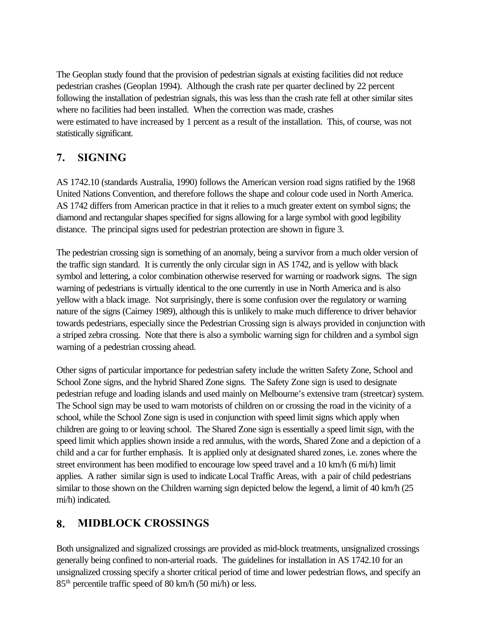<span id="page-20-0"></span>The Geoplan study found that the provision of pedestrian signals at existing facilities did not reduce pedestrian crashes (Geoplan 1994). Although the crash rate per quarter declined by 22 percent following the installation of pedestrian signals, this was less than the crash rate fell at other similar sites where no facilities had been installed. When the correction was made, crashes were estimated to have increased by 1 percent as a result of the installation. This, of course, was not statistically significant.

## **7. SIGNING**

AS 1742.10 (standards Australia, 1990) follows the American version road signs ratified by the 1968 United Nations Convention, and therefore follows the shape and colour code used in North America. AS 1742 differs from American practice in that it relies to a much greater extent on symbol signs; the diamond and rectangular shapes specified for signs allowing for a large symbol with good legibility distance. The principal signs used for pedestrian protection are shown in figure 3.

The pedestrian crossing sign is something of an anomaly, being a survivor from a much older version of the traffic sign standard. It is currently the only circular sign in AS 1742, and is yellow with black symbol and lettering, a color combination otherwise reserved for warning or roadwork signs. The sign warning of pedestrians is virtually identical to the one currently in use in North America and is also yellow with a black image. Not surprisingly, there is some confusion over the regulatory or warning nature of the signs (Cairney 1989), although this is unlikely to make much difference to driver behavior towards pedestrians, especially since the Pedestrian Crossing sign is always provided in conjunction with a striped zebra crossing. Note that there is also a symbolic warning sign for children and a symbol sign warning of a pedestrian crossing ahead.

Other signs of particular importance for pedestrian safety include the written Safety Zone, School and School Zone signs, and the hybrid Shared Zone signs. The Safety Zone sign is used to designate pedestrian refuge and loading islands and used mainly on Melbourne's extensive tram (streetcar) system. The School sign may be used to warn motorists of children on or crossing the road in the vicinity of a school, while the School Zone sign is used in conjunction with speed limit signs which apply when children are going to or leaving school. The Shared Zone sign is essentially a speed limit sign, with the speed limit which applies shown inside a red annulus, with the words, Shared Zone and a depiction of a child and a car for further emphasis. It is applied only at designated shared zones, i.e. zones where the street environment has been modified to encourage low speed travel and a 10 km/h (6 mi/h) limit applies. A rather similar sign is used to indicate Local Traffic Areas, with a pair of child pedestrians similar to those shown on the Children warning sign depicted below the legend, a limit of 40 km/h (25) mi/h) indicated.

## **8. MIDBLOCK CROSSINGS**

Both unsignalized and signalized crossings are provided as mid-block treatments, unsignalized crossings generally being confined to non-arterial roads. The guidelines for installation in AS 1742.10 for an unsignalized crossing specify a shorter critical period of time and lower pedestrian flows, and specify an 85th percentile traffic speed of 80 km/h (50 mi/h) or less.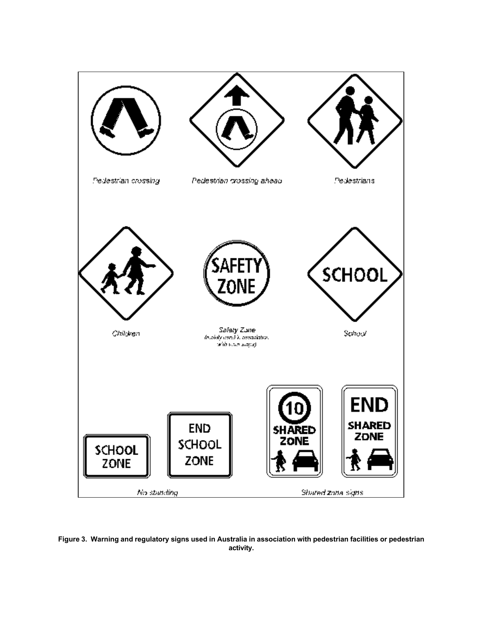

**Figure 3. Warning and regulatory signs used in Australia in association with pedestrian facilities or pedestrian activity.**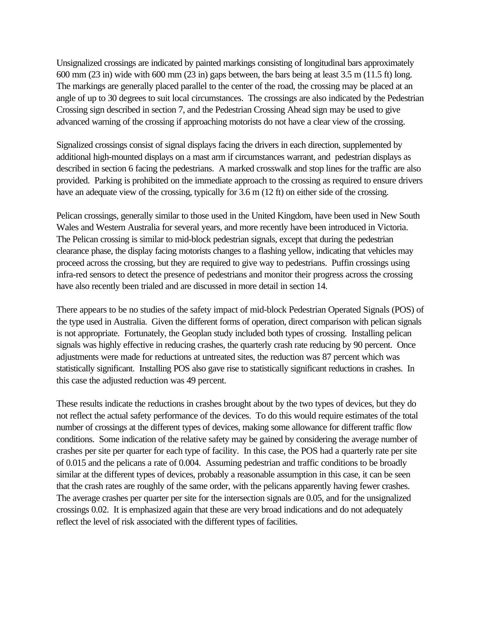Unsignalized crossings are indicated by painted markings consisting of longitudinal bars approximately 600 mm (23 in) wide with 600 mm (23 in) gaps between, the bars being at least 3.5 m (11.5 ft) long. The markings are generally placed parallel to the center of the road, the crossing may be placed at an angle of up to 30 degrees to suit local circumstances. The crossings are also indicated by the Pedestrian Crossing sign described in section 7, and the Pedestrian Crossing Ahead sign may be used to give advanced warning of the crossing if approaching motorists do not have a clear view of the crossing.

Signalized crossings consist of signal displays facing the drivers in each direction, supplemented by additional high-mounted displays on a mast arm if circumstances warrant, and pedestrian displays as described in section 6 facing the pedestrians. A marked crosswalk and stop lines for the traffic are also provided. Parking is prohibited on the immediate approach to the crossing as required to ensure drivers have an adequate view of the crossing, typically for 3.6 m (12 ft) on either side of the crossing.

Pelican crossings, generally similar to those used in the United Kingdom, have been used in New South Wales and Western Australia for several years, and more recently have been introduced in Victoria. The Pelican crossing is similar to mid-block pedestrian signals, except that during the pedestrian clearance phase, the display facing motorists changes to a flashing yellow, indicating that vehicles may proceed across the crossing, but they are required to give way to pedestrians. Puffin crossings using infra-red sensors to detect the presence of pedestrians and monitor their progress across the crossing have also recently been trialed and are discussed in more detail in section 14.

There appears to be no studies of the safety impact of mid-block Pedestrian Operated Signals (POS) of the type used in Australia. Given the different forms of operation, direct comparison with pelican signals is not appropriate. Fortunately, the Geoplan study included both types of crossing. Installing pelican signals was highly effective in reducing crashes, the quarterly crash rate reducing by 90 percent. Once adjustments were made for reductions at untreated sites, the reduction was 87 percent which was statistically significant. Installing POS also gave rise to statistically significant reductions in crashes. In this case the adjusted reduction was 49 percent.

These results indicate the reductions in crashes brought about by the two types of devices, but they do not reflect the actual safety performance of the devices. To do this would require estimates of the total number of crossings at the different types of devices, making some allowance for different traffic flow conditions. Some indication of the relative safety may be gained by considering the average number of crashes per site per quarter for each type of facility. In this case, the POS had a quarterly rate per site of 0.015 and the pelicans a rate of 0.004. Assuming pedestrian and traffic conditions to be broadly similar at the different types of devices, probably a reasonable assumption in this case, it can be seen that the crash rates are roughly of the same order, with the pelicans apparently having fewer crashes. The average crashes per quarter per site for the intersection signals are 0.05, and for the unsignalized crossings 0.02. It is emphasized again that these are very broad indications and do not adequately reflect the level of risk associated with the different types of facilities.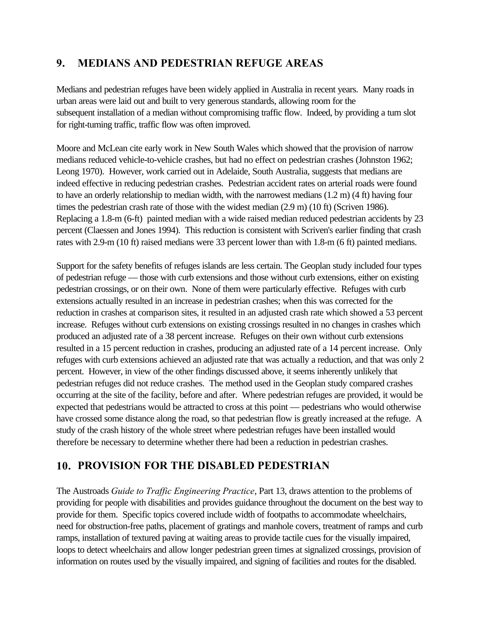## <span id="page-23-0"></span>**9. MEDIANS AND PEDESTRIAN REFUGE AREAS**

Medians and pedestrian refuges have been widely applied in Australia in recent years. Many roads in urban areas were laid out and built to very generous standards, allowing room for the subsequent installation of a median without compromising traffic flow. Indeed, by providing a turn slot for right-turning traffic, traffic flow was often improved.

Moore and McLean cite early work in New South Wales which showed that the provision of narrow medians reduced vehicle-to-vehicle crashes, but had no effect on pedestrian crashes (Johnston 1962; Leong 1970). However, work carried out in Adelaide, South Australia, suggests that medians are indeed effective in reducing pedestrian crashes. Pedestrian accident rates on arterial roads were found to have an orderly relationship to median width, with the narrowest medians (1.2 m) (4 ft) having four times the pedestrian crash rate of those with the widest median (2.9 m) (10 ft) (Scriven 1986). Replacing a 1.8-m (6-ft) painted median with a wide raised median reduced pedestrian accidents by 23 percent (Claessen and Jones 1994). This reduction is consistent with Scriven's earlier finding that crash rates with 2.9-m (10 ft) raised medians were 33 percent lower than with 1.8-m (6 ft) painted medians.

Support for the safety benefits of refuges islands are less certain. The Geoplan study included four types of pedestrian refuge — those with curb extensions and those without curb extensions, either on existing pedestrian crossings, or on their own. None of them were particularly effective. Refuges with curb extensions actually resulted in an increase in pedestrian crashes; when this was corrected for the reduction in crashes at comparison sites, it resulted in an adjusted crash rate which showed a 53 percent increase. Refuges without curb extensions on existing crossings resulted in no changes in crashes which produced an adjusted rate of a 38 percent increase. Refuges on their own without curb extensions resulted in a 15 percent reduction in crashes, producing an adjusted rate of a 14 percent increase. Only refuges with curb extensions achieved an adjusted rate that was actually a reduction, and that was only 2 percent. However, in view of the other findings discussed above, it seems inherently unlikely that pedestrian refuges did not reduce crashes. The method used in the Geoplan study compared crashes occurring at the site of the facility, before and after. Where pedestrian refuges are provided, it would be expected that pedestrians would be attracted to cross at this point — pedestrians who would otherwise have crossed some distance along the road, so that pedestrian flow is greatly increased at the refuge. A study of the crash history of the whole street where pedestrian refuges have been installed would therefore be necessary to determine whether there had been a reduction in pedestrian crashes.

## **10. PROVISION FOR THE DISABLED PEDESTRIAN**

The Austroads *Guide to Traffic Engineering Practice*, Part 13, draws attention to the problems of providing for people with disabilities and provides guidance throughout the document on the best way to provide for them. Specific topics covered include width of footpaths to accommodate wheelchairs, need for obstruction-free paths, placement of gratings and manhole covers, treatment of ramps and curb ramps, installation of textured paving at waiting areas to provide tactile cues for the visually impaired, loops to detect wheelchairs and allow longer pedestrian green times at signalized crossings, provision of information on routes used by the visually impaired, and signing of facilities and routes for the disabled.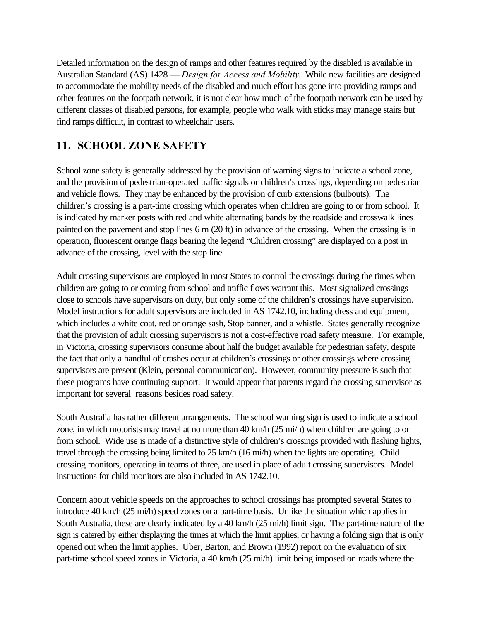<span id="page-24-0"></span>Detailed information on the design of ramps and other features required by the disabled is available in Australian Standard (AS) 1428 — *Design for Access and Mobility*. While new facilities are designed to accommodate the mobility needs of the disabled and much effort has gone into providing ramps and other features on the footpath network, it is not clear how much of the footpath network can be used by different classes of disabled persons, for example, people who walk with sticks may manage stairs but find ramps difficult, in contrast to wheelchair users.

## **11. SCHOOL ZONE SAFETY**

School zone safety is generally addressed by the provision of warning signs to indicate a school zone, and the provision of pedestrian-operated traffic signals or children's crossings, depending on pedestrian and vehicle flows. They may be enhanced by the provision of curb extensions (bulbouts). The children's crossing is a part-time crossing which operates when children are going to or from school. It is indicated by marker posts with red and white alternating bands by the roadside and crosswalk lines painted on the pavement and stop lines 6 m (20 ft) in advance of the crossing. When the crossing is in operation, fluorescent orange flags bearing the legend "Children crossing" are displayed on a post in advance of the crossing, level with the stop line.

Adult crossing supervisors are employed in most States to control the crossings during the times when children are going to or coming from school and traffic flows warrant this. Most signalized crossings close to schools have supervisors on duty, but only some of the children's crossings have supervision. Model instructions for adult supervisors are included in AS 1742.10, including dress and equipment, which includes a white coat, red or orange sash, Stop banner, and a whistle. States generally recognize that the provision of adult crossing supervisors is not a cost-effective road safety measure. For example, in Victoria, crossing supervisors consume about half the budget available for pedestrian safety, despite the fact that only a handful of crashes occur at children's crossings or other crossings where crossing supervisors are present (Klein, personal communication). However, community pressure is such that these programs have continuing support. It would appear that parents regard the crossing supervisor as important for several reasons besides road safety.

South Australia has rather different arrangements. The school warning sign is used to indicate a school zone, in which motorists may travel at no more than 40 km/h (25 mi/h) when children are going to or from school. Wide use is made of a distinctive style of children's crossings provided with flashing lights, travel through the crossing being limited to 25 km/h (16 mi/h) when the lights are operating. Child crossing monitors, operating in teams of three, are used in place of adult crossing supervisors. Model instructions for child monitors are also included in AS 1742.10.

Concern about vehicle speeds on the approaches to school crossings has prompted several States to introduce 40 km/h (25 mi/h) speed zones on a part-time basis. Unlike the situation which applies in South Australia, these are clearly indicated by a 40 km/h (25 mi/h) limit sign. The part-time nature of the sign is catered by either displaying the times at which the limit applies, or having a folding sign that is only opened out when the limit applies. Uber, Barton, and Brown (1992) report on the evaluation of six part-time school speed zones in Victoria, a 40 km/h (25 mi/h) limit being imposed on roads where the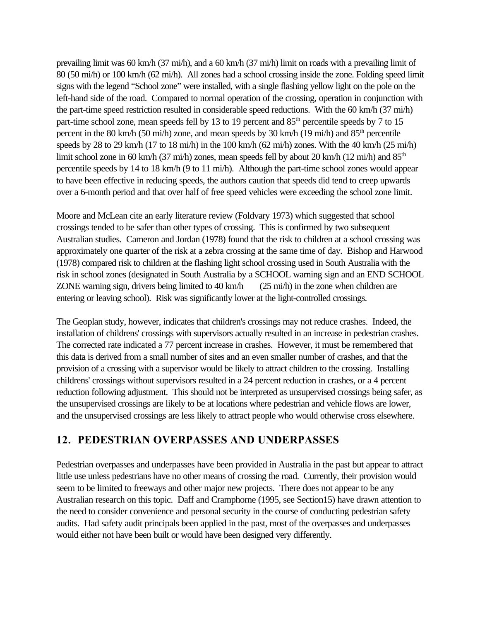<span id="page-25-0"></span>prevailing limit was 60 km/h (37 mi/h), and a 60 km/h (37 mi/h) limit on roads with a prevailing limit of 80 (50 mi/h) or 100 km/h (62 mi/h). All zones had a school crossing inside the zone. Folding speed limit signs with the legend "School zone" were installed, with a single flashing yellow light on the pole on the left-hand side of the road. Compared to normal operation of the crossing, operation in conjunction with the part-time speed restriction resulted in considerable speed reductions. With the 60 km/h (37 mi/h) part-time school zone, mean speeds fell by 13 to 19 percent and 85<sup>th</sup> percentile speeds by 7 to 15 percent in the 80 km/h (50 mi/h) zone, and mean speeds by 30 km/h (19 mi/h) and 85<sup>th</sup> percentile speeds by 28 to 29 km/h (17 to 18 mi/h) in the 100 km/h (62 mi/h) zones. With the 40 km/h (25 mi/h) limit school zone in 60 km/h (37 mi/h) zones, mean speeds fell by about 20 km/h (12 mi/h) and  $85<sup>th</sup>$ percentile speeds by 14 to 18 km/h (9 to 11 mi/h). Although the part-time school zones would appear to have been effective in reducing speeds, the authors caution that speeds did tend to creep upwards over a 6-month period and that over half of free speed vehicles were exceeding the school zone limit.

Moore and McLean cite an early literature review (Foldvary 1973) which suggested that school crossings tended to be safer than other types of crossing. This is confirmed by two subsequent Australian studies. Cameron and Jordan (1978) found that the risk to children at a school crossing was approximately one quarter of the risk at a zebra crossing at the same time of day. Bishop and Harwood (1978) compared risk to children at the flashing light school crossing used in South Australia with the risk in school zones (designated in South Australia by a SCHOOL warning sign and an END SCHOOL ZONE warning sign, drivers being limited to 40 km/h (25 mi/h) in the zone when children are entering or leaving school). Risk was significantly lower at the light-controlled crossings.

The Geoplan study, however, indicates that children's crossings may not reduce crashes. Indeed, the installation of childrens' crossings with supervisors actually resulted in an increase in pedestrian crashes. The corrected rate indicated a 77 percent increase in crashes. However, it must be remembered that this data is derived from a small number of sites and an even smaller number of crashes, and that the provision of a crossing with a supervisor would be likely to attract children to the crossing. Installing childrens' crossings without supervisors resulted in a 24 percent reduction in crashes, or a 4 percent reduction following adjustment. This should not be interpreted as unsupervised crossings being safer, as the unsupervised crossings are likely to be at locations where pedestrian and vehicle flows are lower, and the unsupervised crossings are less likely to attract people who would otherwise cross elsewhere.

## **12. PEDESTRIAN OVERPASSES AND UNDERPASSES**

Pedestrian overpasses and underpasses have been provided in Australia in the past but appear to attract little use unless pedestrians have no other means of crossing the road. Currently, their provision would seem to be limited to freeways and other major new projects. There does not appear to be any Australian research on this topic. Daff and Cramphorne (1995, see Section15) have drawn attention to the need to consider convenience and personal security in the course of conducting pedestrian safety audits. Had safety audit principals been applied in the past, most of the overpasses and underpasses would either not have been built or would have been designed very differently.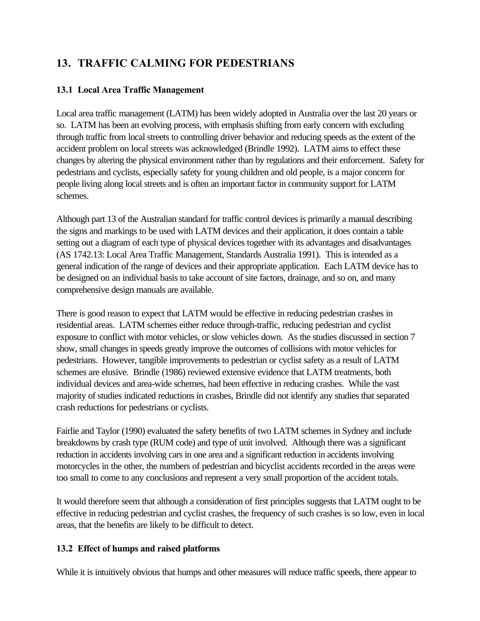# <span id="page-26-0"></span>**13. TRAFFIC CALMING FOR PEDESTRIANS**

## **13.1 Local Area Traffic Management**

Local area traffic management (LATM) has been widely adopted in Australia over the last 20 years or so. LATM has been an evolving process, with emphasis shifting from early concern with excluding through traffic from local streets to controlling driver behavior and reducing speeds as the extent of the accident problem on local streets was acknowledged (Brindle 1992). LATM aims to effect these changes by altering the physical environment rather than by regulations and their enforcement. Safety for pedestrians and cyclists, especially safety for young children and old people, is a major concern for people living along local streets and is often an important factor in community support for LATM schemes.

Although part 13 of the Australian standard for traffic control devices is primarily a manual describing the signs and markings to be used with LATM devices and their application, it does contain a table setting out a diagram of each type of physical devices together with its advantages and disadvantages (AS 1742.13: Local Area Traffic Management, Standards Australia 1991). This is intended as a general indication of the range of devices and their appropriate application. Each LATM device has to be designed on an individual basis to take account of site factors, drainage, and so on, and many comprehensive design manuals are available.

There is good reason to expect that LATM would be effective in reducing pedestrian crashes in residential areas. LATM schemes either reduce through-traffic, reducing pedestrian and cyclist exposure to conflict with motor vehicles, or slow vehicles down. As the studies discussed in section 7 show, small changes in speeds greatly improve the outcomes of collisions with motor vehicles for pedestrians. However, tangible improvements to pedestrian or cyclist safety as a result of LATM schemes are elusive. Brindle (1986) reviewed extensive evidence that LATM treatments, both individual devices and area-wide schemes, had been effective in reducing crashes. While the vast majority of studies indicated reductions in crashes, Brindle did not identify any studies that separated crash reductions for pedestrians or cyclists.

Fairlie and Taylor (1990) evaluated the safety benefits of two LATM schemes in Sydney and include breakdowns by crash type (RUM code) and type of unit involved. Although there was a significant reduction in accidents involving cars in one area and a significant reduction in accidents involving motorcycles in the other, the numbers of pedestrian and bicyclist accidents recorded in the areas were too small to come to any conclusions and represent a very small proportion of the accident totals.

It would therefore seem that although a consideration of first principles suggests that LATM ought to be effective in reducing pedestrian and cyclist crashes, the frequency of such crashes is so low, even in local areas, that the benefits are likely to be difficult to detect.

## **13.2 Effect of humps and raised platforms**

While it is intuitively obvious that humps and other measures will reduce traffic speeds, there appear to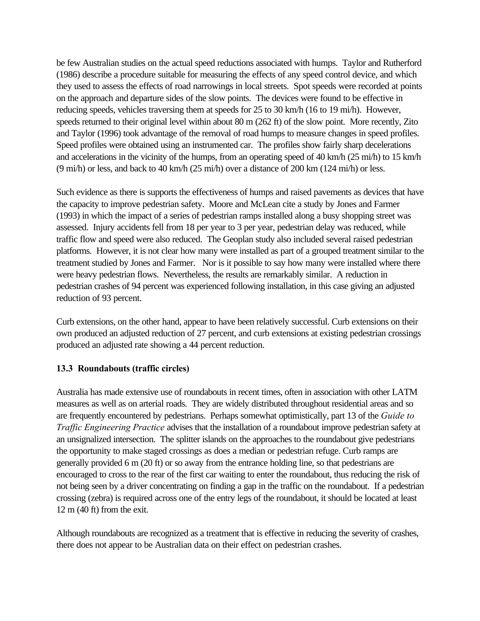<span id="page-27-0"></span>be few Australian studies on the actual speed reductions associated with humps. Taylor and Rutherford (1986) describe a procedure suitable for measuring the effects of any speed control device, and which they used to assess the effects of road narrowings in local streets. Spot speeds were recorded at points on the approach and departure sides of the slow points. The devices were found to be effective in reducing speeds, vehicles traversing them at speeds for 25 to 30 km/h (16 to 19 mi/h). However, speeds returned to their original level within about 80 m (262 ft) of the slow point. More recently, Zito and Taylor (1996) took advantage of the removal of road humps to measure changes in speed profiles. Speed profiles were obtained using an instrumented car. The profiles show fairly sharp decelerations and accelerations in the vicinity of the humps, from an operating speed of 40 km/h (25 mi/h) to 15 km/h (9 mi/h) or less, and back to 40 km/h (25 mi/h) over a distance of 200 km (124 mi/h) or less.

Such evidence as there is supports the effectiveness of humps and raised pavements as devices that have the capacity to improve pedestrian safety. Moore and McLean cite a study by Jones and Farmer (1993) in which the impact of a series of pedestrian ramps installed along a busy shopping street was assessed. Injury accidents fell from 18 per year to 3 per year, pedestrian delay was reduced, while traffic flow and speed were also reduced. The Geoplan study also included several raised pedestrian platforms. However, it is not clear how many were installed as part of a grouped treatment similar to the treatment studied by Jones and Farmer. Nor is it possible to say how many were installed where there were heavy pedestrian flows. Nevertheless, the results are remarkably similar. A reduction in pedestrian crashes of 94 percent was experienced following installation, in this case giving an adjusted reduction of 93 percent.

Curb extensions, on the other hand, appear to have been relatively successful. Curb extensions on their own produced an adjusted reduction of 27 percent, and curb extensions at existing pedestrian crossings produced an adjusted rate showing a 44 percent reduction.

## **13.3 Roundabouts (traffic circles)**

Australia has made extensive use of roundabouts in recent times, often in association with other LATM measures as well as on arterial roads. They are widely distributed throughout residential areas and so are frequently encountered by pedestrians. Perhaps somewhat optimistically, part 13 of the *Guide to Traffic Engineering Practice* advises that the installation of a roundabout improve pedestrian safety at an unsignalized intersection. The splitter islands on the approaches to the roundabout give pedestrians the opportunity to make staged crossings as does a median or pedestrian refuge. Curb ramps are generally provided 6 m (20 ft) or so away from the entrance holding line, so that pedestrians are encouraged to cross to the rear of the first car waiting to enter the roundabout, thus reducing the risk of not being seen by a driver concentrating on finding a gap in the traffic on the roundabout. If a pedestrian crossing (zebra) is required across one of the entry legs of the roundabout, it should be located at least 12 m (40 ft) from the exit.

Although roundabouts are recognized as a treatment that is effective in reducing the severity of crashes, there does not appear to be Australian data on their effect on pedestrian crashes.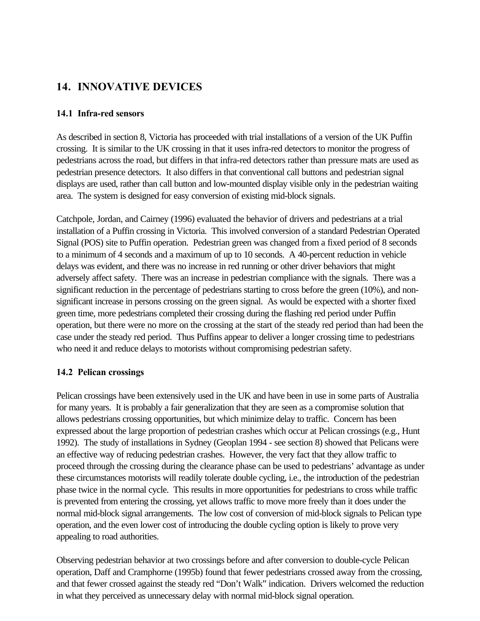## <span id="page-28-0"></span>**14. INNOVATIVE DEVICES**

#### **14.1 Infra-red sensors**

As described in section 8, Victoria has proceeded with trial installations of a version of the UK Puffin crossing. It is similar to the UK crossing in that it uses infra-red detectors to monitor the progress of pedestrians across the road, but differs in that infra-red detectors rather than pressure mats are used as pedestrian presence detectors. It also differs in that conventional call buttons and pedestrian signal displays are used, rather than call button and low-mounted display visible only in the pedestrian waiting area. The system is designed for easy conversion of existing mid-block signals.

Catchpole, Jordan, and Cairney (1996) evaluated the behavior of drivers and pedestrians at a trial installation of a Puffin crossing in Victoria. This involved conversion of a standard Pedestrian Operated Signal (POS) site to Puffin operation. Pedestrian green was changed from a fixed period of 8 seconds to a minimum of 4 seconds and a maximum of up to 10 seconds. A 40-percent reduction in vehicle delays was evident, and there was no increase in red running or other driver behaviors that might adversely affect safety. There was an increase in pedestrian compliance with the signals. There was a significant reduction in the percentage of pedestrians starting to cross before the green (10%), and nonsignificant increase in persons crossing on the green signal. As would be expected with a shorter fixed green time, more pedestrians completed their crossing during the flashing red period under Puffin operation, but there were no more on the crossing at the start of the steady red period than had been the case under the steady red period. Thus Puffins appear to deliver a longer crossing time to pedestrians who need it and reduce delays to motorists without compromising pedestrian safety.

#### **14.2 Pelican crossings**

Pelican crossings have been extensively used in the UK and have been in use in some parts of Australia for many years. It is probably a fair generalization that they are seen as a compromise solution that allows pedestrians crossing opportunities, but which minimize delay to traffic. Concern has been expressed about the large proportion of pedestrian crashes which occur at Pelican crossings (e.g., Hunt 1992). The study of installations in Sydney (Geoplan 1994 - see section 8) showed that Pelicans were an effective way of reducing pedestrian crashes. However, the very fact that they allow traffic to proceed through the crossing during the clearance phase can be used to pedestrians' advantage as under these circumstances motorists will readily tolerate double cycling, i.e., the introduction of the pedestrian phase twice in the normal cycle. This results in more opportunities for pedestrians to cross while traffic is prevented from entering the crossing, yet allows traffic to move more freely than it does under the normal mid-block signal arrangements. The low cost of conversion of mid-block signals to Pelican type operation, and the even lower cost of introducing the double cycling option is likely to prove very appealing to road authorities.

Observing pedestrian behavior at two crossings before and after conversion to double-cycle Pelican operation, Daff and Cramphorne (1995b) found that fewer pedestrians crossed away from the crossing, and that fewer crossed against the steady red "Don't Walk" indication. Drivers welcomed the reduction in what they perceived as unnecessary delay with normal mid-block signal operation.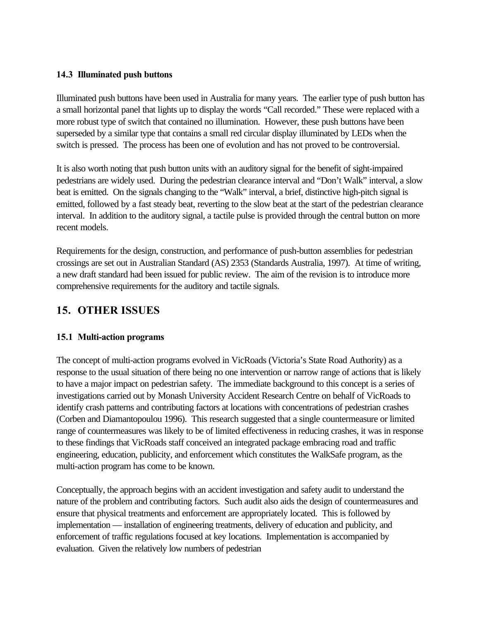#### <span id="page-29-0"></span>**14.3 Illuminated push buttons**

Illuminated push buttons have been used in Australia for many years. The earlier type of push button has a small horizontal panel that lights up to display the words "Call recorded." These were replaced with a more robust type of switch that contained no illumination. However, these push buttons have been superseded by a similar type that contains a small red circular display illuminated by LEDs when the switch is pressed. The process has been one of evolution and has not proved to be controversial.

It is also worth noting that push button units with an auditory signal for the benefit of sight-impaired pedestrians are widely used. During the pedestrian clearance interval and "Don't Walk" interval, a slow beat is emitted. On the signals changing to the "Walk" interval, a brief, distinctive high-pitch signal is emitted, followed by a fast steady beat, reverting to the slow beat at the start of the pedestrian clearance interval. In addition to the auditory signal, a tactile pulse is provided through the central button on more recent models.

Requirements for the design, construction, and performance of push-button assemblies for pedestrian crossings are set out in Australian Standard (AS) 2353 (Standards Australia, 1997). At time of writing, a new draft standard had been issued for public review. The aim of the revision is to introduce more comprehensive requirements for the auditory and tactile signals.

## **15. OTHER ISSUES**

## **15.1 Multi-action programs**

The concept of multi-action programs evolved in VicRoads (Victoria's State Road Authority) as a response to the usual situation of there being no one intervention or narrow range of actions that is likely to have a major impact on pedestrian safety. The immediate background to this concept is a series of investigations carried out by Monash University Accident Research Centre on behalf of VicRoads to identify crash patterns and contributing factors at locations with concentrations of pedestrian crashes (Corben and Diamantopoulou 1996). This research suggested that a single countermeasure or limited range of countermeasures was likely to be of limited effectiveness in reducing crashes, it was in response to these findings that VicRoads staff conceived an integrated package embracing road and traffic engineering, education, publicity, and enforcement which constitutes the WalkSafe program, as the multi-action program has come to be known.

Conceptually, the approach begins with an accident investigation and safety audit to understand the nature of the problem and contributing factors. Such audit also aids the design of countermeasures and ensure that physical treatments and enforcement are appropriately located. This is followed by implementation — installation of engineering treatments, delivery of education and publicity, and enforcement of traffic regulations focused at key locations. Implementation is accompanied by evaluation. Given the relatively low numbers of pedestrian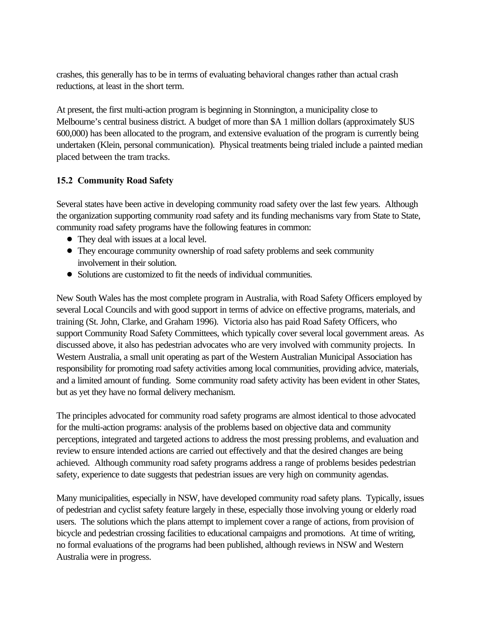<span id="page-30-0"></span>crashes, this generally has to be in terms of evaluating behavioral changes rather than actual crash reductions, at least in the short term.

At present, the first multi-action program is beginning in Stonnington, a municipality close to Melbourne's central business district. A budget of more than \$A 1 million dollars (approximately \$US 600,000) has been allocated to the program, and extensive evaluation of the program is currently being undertaken (Klein, personal communication). Physical treatments being trialed include a painted median placed between the tram tracks.

## **15.2 Community Road Safety**

Several states have been active in developing community road safety over the last few years. Although the organization supporting community road safety and its funding mechanisms vary from State to State, community road safety programs have the following features in common:

- They deal with issues at a local level.
- ! They encourage community ownership of road safety problems and seek community involvement in their solution.
- Solutions are customized to fit the needs of individual communities.

New South Wales has the most complete program in Australia, with Road Safety Officers employed by several Local Councils and with good support in terms of advice on effective programs, materials, and training (St. John, Clarke, and Graham 1996). Victoria also has paid Road Safety Officers, who support Community Road Safety Committees, which typically cover several local government areas. As discussed above, it also has pedestrian advocates who are very involved with community projects. In Western Australia, a small unit operating as part of the Western Australian Municipal Association has responsibility for promoting road safety activities among local communities, providing advice, materials, and a limited amount of funding. Some community road safety activity has been evident in other States, but as yet they have no formal delivery mechanism.

The principles advocated for community road safety programs are almost identical to those advocated for the multi-action programs: analysis of the problems based on objective data and community perceptions, integrated and targeted actions to address the most pressing problems, and evaluation and review to ensure intended actions are carried out effectively and that the desired changes are being achieved. Although community road safety programs address a range of problems besides pedestrian safety, experience to date suggests that pedestrian issues are very high on community agendas.

Many municipalities, especially in NSW, have developed community road safety plans. Typically, issues of pedestrian and cyclist safety feature largely in these, especially those involving young or elderly road users. The solutions which the plans attempt to implement cover a range of actions, from provision of bicycle and pedestrian crossing facilities to educational campaigns and promotions. At time of writing, no formal evaluations of the programs had been published, although reviews in NSW and Western Australia were in progress.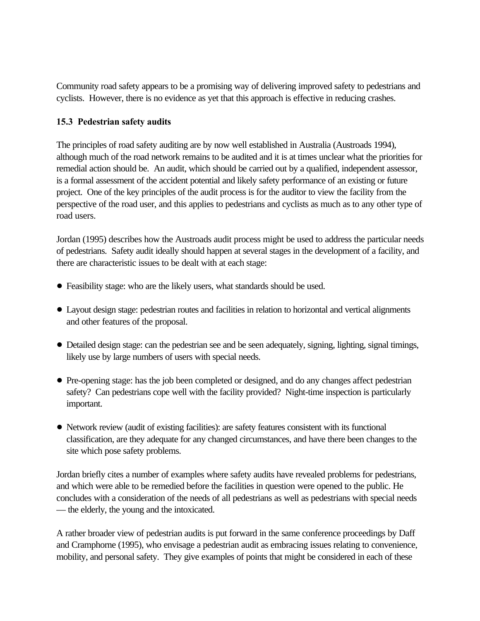<span id="page-31-0"></span>Community road safety appears to be a promising way of delivering improved safety to pedestrians and cyclists. However, there is no evidence as yet that this approach is effective in reducing crashes.

## **15.3 Pedestrian safety audits**

The principles of road safety auditing are by now well established in Australia (Austroads 1994), although much of the road network remains to be audited and it is at times unclear what the priorities for remedial action should be. An audit, which should be carried out by a qualified, independent assessor, is a formal assessment of the accident potential and likely safety performance of an existing or future project. One of the key principles of the audit process is for the auditor to view the facility from the perspective of the road user, and this applies to pedestrians and cyclists as much as to any other type of road users.

Jordan (1995) describes how the Austroads audit process might be used to address the particular needs of pedestrians. Safety audit ideally should happen at several stages in the development of a facility, and there are characteristic issues to be dealt with at each stage:

- ! Feasibility stage: who are the likely users, what standards should be used.
- ! Layout design stage: pedestrian routes and facilities in relation to horizontal and vertical alignments and other features of the proposal.
- ! Detailed design stage: can the pedestrian see and be seen adequately, signing, lighting, signal timings, likely use by large numbers of users with special needs.
- ! Pre-opening stage: has the job been completed or designed, and do any changes affect pedestrian safety? Can pedestrians cope well with the facility provided? Night-time inspection is particularly important.
- ! Network review (audit of existing facilities): are safety features consistent with its functional classification, are they adequate for any changed circumstances, and have there been changes to the site which pose safety problems.

Jordan briefly cites a number of examples where safety audits have revealed problems for pedestrians, and which were able to be remedied before the facilities in question were opened to the public. He concludes with a consideration of the needs of all pedestrians as well as pedestrians with special needs — the elderly, the young and the intoxicated.

A rather broader view of pedestrian audits is put forward in the same conference proceedings by Daff and Cramphorne (1995), who envisage a pedestrian audit as embracing issues relating to convenience, mobility, and personal safety. They give examples of points that might be considered in each of these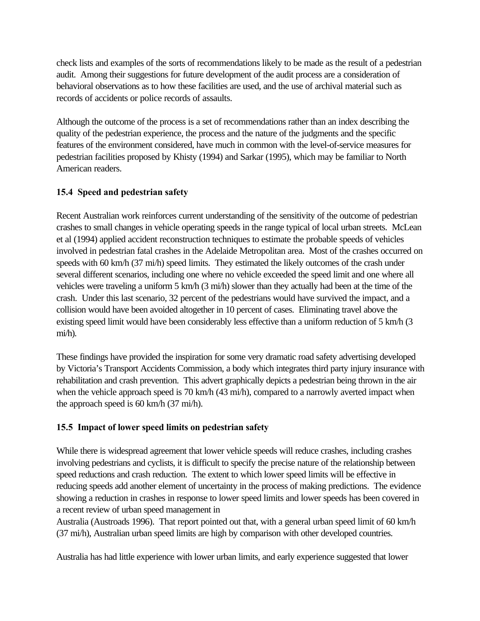<span id="page-32-0"></span>check lists and examples of the sorts of recommendations likely to be made as the result of a pedestrian audit. Among their suggestions for future development of the audit process are a consideration of behavioral observations as to how these facilities are used, and the use of archival material such as records of accidents or police records of assaults.

Although the outcome of the process is a set of recommendations rather than an index describing the quality of the pedestrian experience, the process and the nature of the judgments and the specific features of the environment considered, have much in common with the level-of-service measures for pedestrian facilities proposed by Khisty (1994) and Sarkar (1995), which may be familiar to North American readers.

## **15.4 Speed and pedestrian safety**

Recent Australian work reinforces current understanding of the sensitivity of the outcome of pedestrian crashes to small changes in vehicle operating speeds in the range typical of local urban streets. McLean et al (1994) applied accident reconstruction techniques to estimate the probable speeds of vehicles involved in pedestrian fatal crashes in the Adelaide Metropolitan area. Most of the crashes occurred on speeds with 60 km/h (37 mi/h) speed limits. They estimated the likely outcomes of the crash under several different scenarios, including one where no vehicle exceeded the speed limit and one where all vehicles were traveling a uniform 5 km/h (3 mi/h) slower than they actually had been at the time of the crash. Under this last scenario, 32 percent of the pedestrians would have survived the impact, and a collision would have been avoided altogether in 10 percent of cases. Eliminating travel above the existing speed limit would have been considerably less effective than a uniform reduction of 5 km/h (3 mi/h).

These findings have provided the inspiration for some very dramatic road safety advertising developed by Victoria's Transport Accidents Commission, a body which integrates third party injury insurance with rehabilitation and crash prevention. This advert graphically depicts a pedestrian being thrown in the air when the vehicle approach speed is 70 km/h (43 mi/h), compared to a narrowly averted impact when the approach speed is 60 km/h (37 mi/h).

## **15.5 Impact of lower speed limits on pedestrian safety**

While there is widespread agreement that lower vehicle speeds will reduce crashes, including crashes involving pedestrians and cyclists, it is difficult to specify the precise nature of the relationship between speed reductions and crash reduction. The extent to which lower speed limits will be effective in reducing speeds add another element of uncertainty in the process of making predictions. The evidence showing a reduction in crashes in response to lower speed limits and lower speeds has been covered in a recent review of urban speed management in

Australia (Austroads 1996). That report pointed out that, with a general urban speed limit of 60 km/h (37 mi/h), Australian urban speed limits are high by comparison with other developed countries.

Australia has had little experience with lower urban limits, and early experience suggested that lower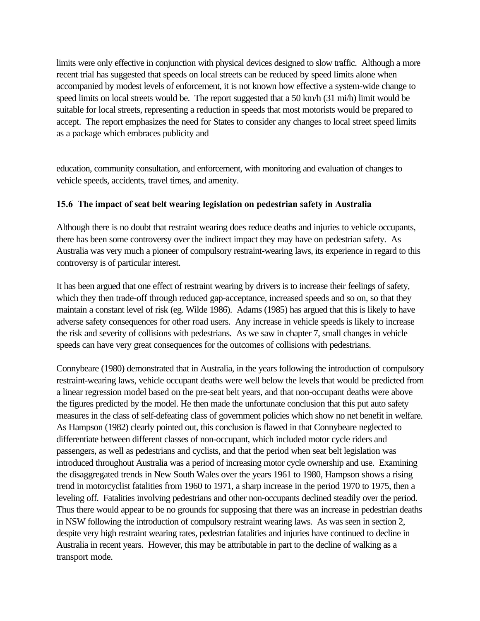<span id="page-33-0"></span>limits were only effective in conjunction with physical devices designed to slow traffic. Although a more recent trial has suggested that speeds on local streets can be reduced by speed limits alone when accompanied by modest levels of enforcement, it is not known how effective a system-wide change to speed limits on local streets would be. The report suggested that a 50 km/h (31 mi/h) limit would be suitable for local streets, representing a reduction in speeds that most motorists would be prepared to accept. The report emphasizes the need for States to consider any changes to local street speed limits as a package which embraces publicity and

education, community consultation, and enforcement, with monitoring and evaluation of changes to vehicle speeds, accidents, travel times, and amenity.

## **15.6 The impact of seat belt wearing legislation on pedestrian safety in Australia**

Although there is no doubt that restraint wearing does reduce deaths and injuries to vehicle occupants, there has been some controversy over the indirect impact they may have on pedestrian safety. As Australia was very much a pioneer of compulsory restraint-wearing laws, its experience in regard to this controversy is of particular interest.

It has been argued that one effect of restraint wearing by drivers is to increase their feelings of safety, which they then trade-off through reduced gap-acceptance, increased speeds and so on, so that they maintain a constant level of risk (eg. Wilde 1986). Adams (1985) has argued that this is likely to have adverse safety consequences for other road users. Any increase in vehicle speeds is likely to increase the risk and severity of collisions with pedestrians. As we saw in chapter 7, small changes in vehicle speeds can have very great consequences for the outcomes of collisions with pedestrians.

Connybeare (1980) demonstrated that in Australia, in the years following the introduction of compulsory restraint-wearing laws, vehicle occupant deaths were well below the levels that would be predicted from a linear regression model based on the pre-seat belt years, and that non-occupant deaths were above the figures predicted by the model. He then made the unfortunate conclusion that this put auto safety measures in the class of self-defeating class of government policies which show no net benefit in welfare. As Hampson (1982) clearly pointed out, this conclusion is flawed in that Connybeare neglected to differentiate between different classes of non-occupant, which included motor cycle riders and passengers, as well as pedestrians and cyclists, and that the period when seat belt legislation was introduced throughout Australia was a period of increasing motor cycle ownership and use. Examining the disaggregated trends in New South Wales over the years 1961 to 1980, Hampson shows a rising trend in motorcyclist fatalities from 1960 to 1971, a sharp increase in the period 1970 to 1975, then a leveling off. Fatalities involving pedestrians and other non-occupants declined steadily over the period. Thus there would appear to be no grounds for supposing that there was an increase in pedestrian deaths in NSW following the introduction of compulsory restraint wearing laws. As was seen in section 2, despite very high restraint wearing rates, pedestrian fatalities and injuries have continued to decline in Australia in recent years. However, this may be attributable in part to the decline of walking as a transport mode.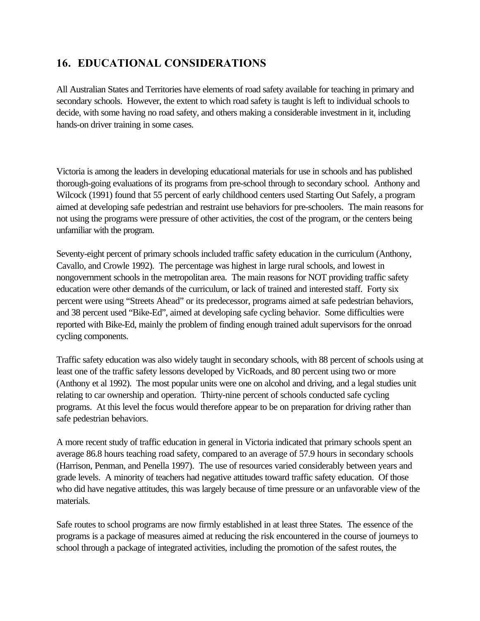## <span id="page-34-0"></span>**16. EDUCATIONAL CONSIDERATIONS**

All Australian States and Territories have elements of road safety available for teaching in primary and secondary schools. However, the extent to which road safety is taught is left to individual schools to decide, with some having no road safety, and others making a considerable investment in it, including hands-on driver training in some cases.

Victoria is among the leaders in developing educational materials for use in schools and has published thorough-going evaluations of its programs from pre-school through to secondary school. Anthony and Wilcock (1991) found that 55 percent of early childhood centers used Starting Out Safely, a program aimed at developing safe pedestrian and restraint use behaviors for pre-schoolers. The main reasons for not using the programs were pressure of other activities, the cost of the program, or the centers being unfamiliar with the program.

Seventy-eight percent of primary schools included traffic safety education in the curriculum (Anthony, Cavallo, and Crowle 1992). The percentage was highest in large rural schools, and lowest in nongovernment schools in the metropolitan area. The main reasons for NOT providing traffic safety education were other demands of the curriculum, or lack of trained and interested staff. Forty six percent were using "Streets Ahead" or its predecessor, programs aimed at safe pedestrian behaviors, and 38 percent used "Bike-Ed", aimed at developing safe cycling behavior. Some difficulties were reported with Bike-Ed, mainly the problem of finding enough trained adult supervisors for the onroad cycling components.

Traffic safety education was also widely taught in secondary schools, with 88 percent of schools using at least one of the traffic safety lessons developed by VicRoads, and 80 percent using two or more (Anthony et al 1992). The most popular units were one on alcohol and driving, and a legal studies unit relating to car ownership and operation. Thirty-nine percent of schools conducted safe cycling programs. At this level the focus would therefore appear to be on preparation for driving rather than safe pedestrian behaviors.

A more recent study of traffic education in general in Victoria indicated that primary schools spent an average 86.8 hours teaching road safety, compared to an average of 57.9 hours in secondary schools (Harrison, Penman, and Penella 1997). The use of resources varied considerably between years and grade levels. A minority of teachers had negative attitudes toward traffic safety education. Of those who did have negative attitudes, this was largely because of time pressure or an unfavorable view of the materials.

Safe routes to school programs are now firmly established in at least three States. The essence of the programs is a package of measures aimed at reducing the risk encountered in the course of journeys to school through a package of integrated activities, including the promotion of the safest routes, the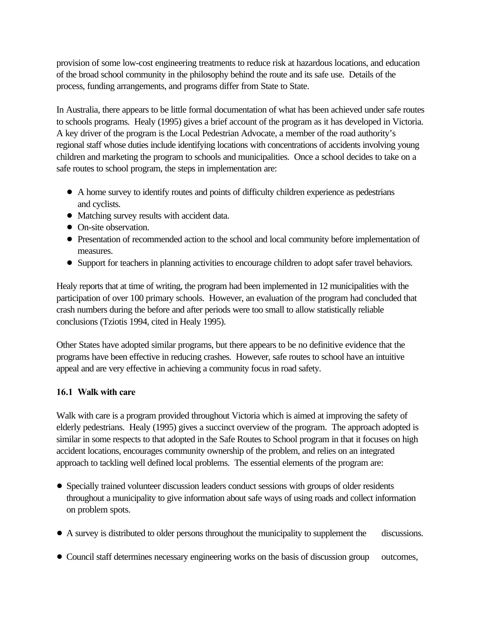<span id="page-35-0"></span>provision of some low-cost engineering treatments to reduce risk at hazardous locations, and education of the broad school community in the philosophy behind the route and its safe use. Details of the process, funding arrangements, and programs differ from State to State.

In Australia, there appears to be little formal documentation of what has been achieved under safe routes to schools programs. Healy (1995) gives a brief account of the program as it has developed in Victoria. A key driver of the program is the Local Pedestrian Advocate, a member of the road authority's regional staff whose duties include identifying locations with concentrations of accidents involving young children and marketing the program to schools and municipalities. Once a school decides to take on a safe routes to school program, the steps in implementation are:

- ! A home survey to identify routes and points of difficulty children experience as pedestrians and cyclists.
- ! Matching survey results with accident data.
- On-site observation.
- ! Presentation of recommended action to the school and local community before implementation of measures.
- ! Support for teachers in planning activities to encourage children to adopt safer travel behaviors.

Healy reports that at time of writing, the program had been implemented in 12 municipalities with the participation of over 100 primary schools. However, an evaluation of the program had concluded that crash numbers during the before and after periods were too small to allow statistically reliable conclusions (Tziotis 1994, cited in Healy 1995).

Other States have adopted similar programs, but there appears to be no definitive evidence that the programs have been effective in reducing crashes. However, safe routes to school have an intuitive appeal and are very effective in achieving a community focus in road safety.

## **16.1 Walk with care**

Walk with care is a program provided throughout Victoria which is aimed at improving the safety of elderly pedestrians. Healy (1995) gives a succinct overview of the program. The approach adopted is similar in some respects to that adopted in the Safe Routes to School program in that it focuses on high accident locations, encourages community ownership of the problem, and relies on an integrated approach to tackling well defined local problems. The essential elements of the program are:

- Specially trained volunteer discussion leaders conduct sessions with groups of older residents throughout a municipality to give information about safe ways of using roads and collect information on problem spots.
- A survey is distributed to older persons throughout the municipality to supplement the discussions.
- Council staff determines necessary engineering works on the basis of discussion group outcomes,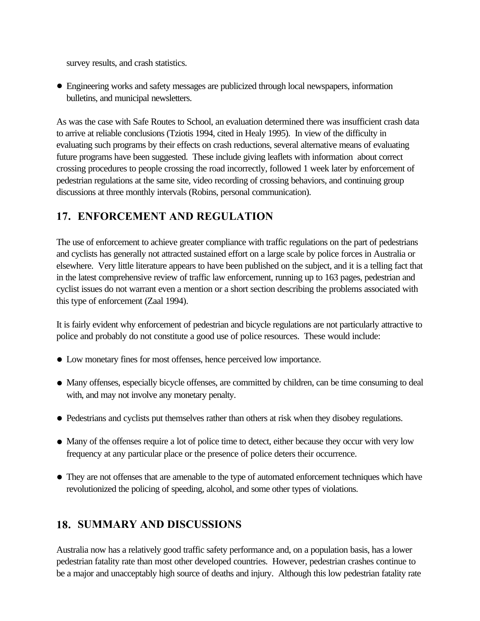<span id="page-36-0"></span>survey results, and crash statistics.

! Engineering works and safety messages are publicized through local newspapers, information bulletins, and municipal newsletters.

As was the case with Safe Routes to School, an evaluation determined there was insufficient crash data to arrive at reliable conclusions (Tziotis 1994, cited in Healy 1995). In view of the difficulty in evaluating such programs by their effects on crash reductions, several alternative means of evaluating future programs have been suggested. These include giving leaflets with information about correct crossing procedures to people crossing the road incorrectly, followed 1 week later by enforcement of pedestrian regulations at the same site, video recording of crossing behaviors, and continuing group discussions at three monthly intervals (Robins, personal communication).

## **17. ENFORCEMENT AND REGULATION**

The use of enforcement to achieve greater compliance with traffic regulations on the part of pedestrians and cyclists has generally not attracted sustained effort on a large scale by police forces in Australia or elsewhere. Very little literature appears to have been published on the subject, and it is a telling fact that in the latest comprehensive review of traffic law enforcement, running up to 163 pages, pedestrian and cyclist issues do not warrant even a mention or a short section describing the problems associated with this type of enforcement (Zaal 1994).

It is fairly evident why enforcement of pedestrian and bicycle regulations are not particularly attractive to police and probably do not constitute a good use of police resources. These would include:

- ! Low monetary fines for most offenses, hence perceived low importance.
- Many offenses, especially bicycle offenses, are committed by children, can be time consuming to deal with, and may not involve any monetary penalty.
- ! Pedestrians and cyclists put themselves rather than others at risk when they disobey regulations.
- ! Many of the offenses require a lot of police time to detect, either because they occur with very low frequency at any particular place or the presence of police deters their occurrence.
- They are not offenses that are amenable to the type of automated enforcement techniques which have revolutionized the policing of speeding, alcohol, and some other types of violations.

## **18. SUMMARY AND DISCUSSIONS**

Australia now has a relatively good traffic safety performance and, on a population basis, has a lower pedestrian fatality rate than most other developed countries. However, pedestrian crashes continue to be a major and unacceptably high source of deaths and injury. Although this low pedestrian fatality rate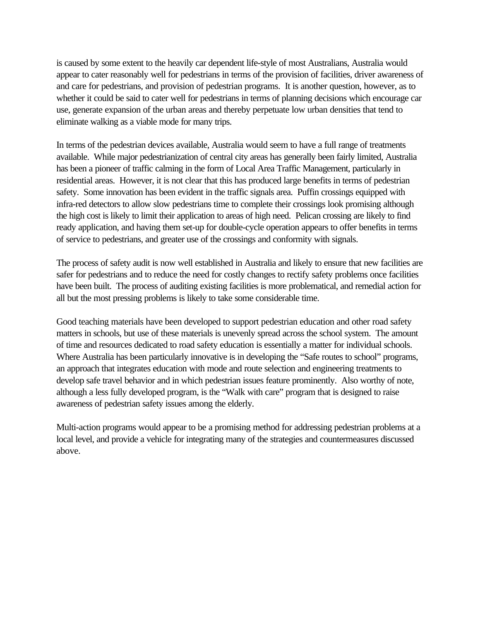is caused by some extent to the heavily car dependent life-style of most Australians, Australia would appear to cater reasonably well for pedestrians in terms of the provision of facilities, driver awareness of and care for pedestrians, and provision of pedestrian programs. It is another question, however, as to whether it could be said to cater well for pedestrians in terms of planning decisions which encourage car use, generate expansion of the urban areas and thereby perpetuate low urban densities that tend to eliminate walking as a viable mode for many trips.

In terms of the pedestrian devices available, Australia would seem to have a full range of treatments available. While major pedestrianization of central city areas has generally been fairly limited, Australia has been a pioneer of traffic calming in the form of Local Area Traffic Management, particularly in residential areas. However, it is not clear that this has produced large benefits in terms of pedestrian safety. Some innovation has been evident in the traffic signals area. Puffin crossings equipped with infra-red detectors to allow slow pedestrians time to complete their crossings look promising although the high cost is likely to limit their application to areas of high need. Pelican crossing are likely to find ready application, and having them set-up for double-cycle operation appears to offer benefits in terms of service to pedestrians, and greater use of the crossings and conformity with signals.

The process of safety audit is now well established in Australia and likely to ensure that new facilities are safer for pedestrians and to reduce the need for costly changes to rectify safety problems once facilities have been built. The process of auditing existing facilities is more problematical, and remedial action for all but the most pressing problems is likely to take some considerable time.

Good teaching materials have been developed to support pedestrian education and other road safety matters in schools, but use of these materials is unevenly spread across the school system. The amount of time and resources dedicated to road safety education is essentially a matter for individual schools. Where Australia has been particularly innovative is in developing the "Safe routes to school" programs, an approach that integrates education with mode and route selection and engineering treatments to develop safe travel behavior and in which pedestrian issues feature prominently. Also worthy of note, although a less fully developed program, is the "Walk with care" program that is designed to raise awareness of pedestrian safety issues among the elderly.

Multi-action programs would appear to be a promising method for addressing pedestrian problems at a local level, and provide a vehicle for integrating many of the strategies and countermeasures discussed above.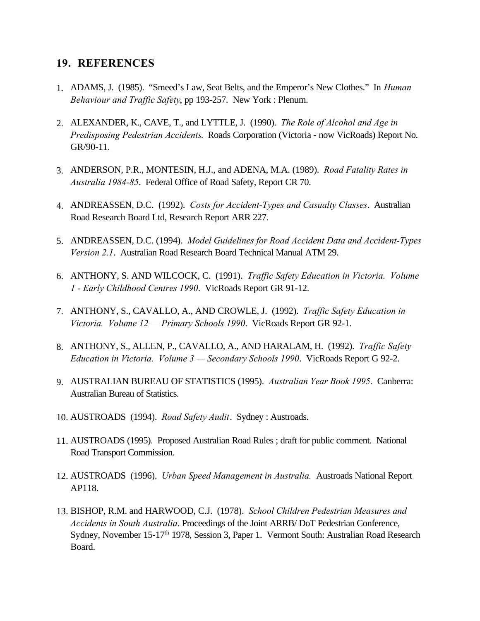## <span id="page-38-0"></span>**19. REFERENCES**

- 1. ADAMS, J. (1985). "Smeed's Law, Seat Belts, and the Emperor's New Clothes." In *Human Behaviour and Traffic Safety*, pp 193-257. New York : Plenum.
- 2. ALEXANDER, K., CAVE, T., and LYTTLE, J. (1990). *The Role of Alcohol and Age in Predisposing Pedestrian Accidents*. Roads Corporation (Victoria - now VicRoads) Report No. GR/90-11.
- 3. ANDERSON, P.R., MONTESIN, H.J., and ADENA, M.A. (1989). *Road Fatality Rates in Australia 1984-85*. Federal Office of Road Safety, Report CR 70.
- 4. ANDREASSEN, D.C. (1992). *Costs for Accident-Types and Casualty Classes*. Australian Road Research Board Ltd, Research Report ARR 227.
- 5. ANDREASSEN, D.C. (1994). *Model Guidelines for Road Accident Data and Accident-Types Version 2.1*. Australian Road Research Board Technical Manual ATM 29.
- 6. ANTHONY, S. AND WILCOCK, C. (1991). *Traffic Safety Education in Victoria. Volume 1 - Early Childhood Centres 1990*. VicRoads Report GR 91-12.
- 7. ANTHONY, S., CAVALLO, A., AND CROWLE, J. (1992). *Traffic Safety Education in Victoria. Volume 12 — Primary Schools 1990*. VicRoads Report GR 92-1.
- 8. ANTHONY, S., ALLEN, P., CAVALLO, A., AND HARALAM, H. (1992). *Traffic Safety Education in Victoria. Volume 3 — Secondary Schools 1990*. VicRoads Report G 92-2.
- 9. AUSTRALIAN BUREAU OF STATISTICS (1995). *Australian Year Book 1995*. Canberra: Australian Bureau of Statistics.
- 10. AUSTROADS (1994). *Road Safety Audit*. Sydney : Austroads.
- 11. AUSTROADS (1995). Proposed Australian Road Rules ; draft for public comment. National Road Transport Commission.
- 12. AUSTROADS (1996). *Urban Speed Management in Australia.* Austroads National Report AP118.
- 13. BISHOP, R.M. and HARWOOD, C.J. (1978). *School Children Pedestrian Measures and Accidents in South Australia*. Proceedings of the Joint ARRB/ DoT Pedestrian Conference, Sydney, November 15-17<sup>th</sup> 1978, Session 3, Paper 1. Vermont South: Australian Road Research Board.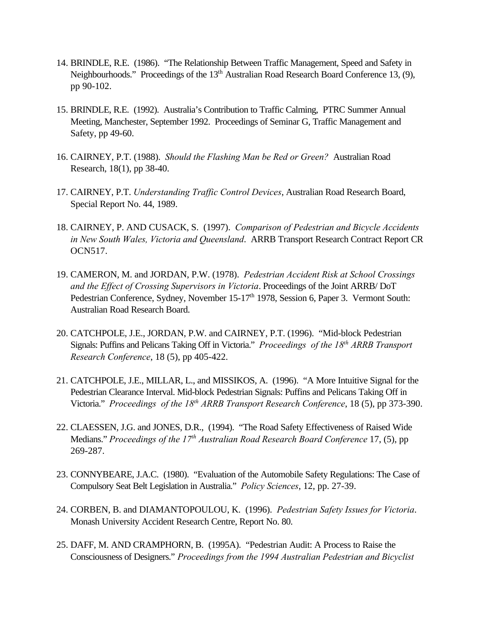- 14. BRINDLE, R.E. (1986). "The Relationship Between Traffic Management, Speed and Safety in Neighbourhoods." Proceedings of the 13<sup>th</sup> Australian Road Research Board Conference 13, (9), pp 90-102.
- 15. BRINDLE, R.E. (1992). Australia's Contribution to Traffic Calming, PTRC Summer Annual Meeting, Manchester, September 1992. Proceedings of Seminar G, Traffic Management and Safety, pp 49-60.
- 16. CAIRNEY, P.T. (1988). *Should the Flashing Man be Red or Green?* Australian Road Research, 18(1), pp 38-40.
- 17. CAIRNEY, P.T. *Understanding Traffic Control Devices*, Australian Road Research Board, Special Report No. 44, 1989.
- 18. CAIRNEY, P. AND CUSACK, S. (1997). *Comparison of Pedestrian and Bicycle Accidents in New South Wales, Victoria and Queensland*. ARRB Transport Research Contract Report CR OCN517.
- 19. CAMERON, M. and JORDAN, P.W. (1978). *Pedestrian Accident Risk at School Crossings and the Effect of Crossing Supervisors in Victoria*. Proceedings of the Joint ARRB/ DoT Pedestrian Conference, Sydney, November 15-17<sup>th</sup> 1978, Session 6, Paper 3. Vermont South: Australian Road Research Board.
- 20. CATCHPOLE, J.E., JORDAN, P.W. and CAIRNEY, P.T. (1996). "Mid-block Pedestrian Signals: Puffins and Pelicans Taking Off in Victoria." *Proceedings of the 18th ARRB Transport Research Conference*, 18 (5), pp 405-422.
- 21. CATCHPOLE, J.E., MILLAR, L., and MISSIKOS, A. (1996). "A More Intuitive Signal for the Pedestrian Clearance Interval. Mid-block Pedestrian Signals: Puffins and Pelicans Taking Off in Victoria." *Proceedings of the 18th ARRB Transport Research Conference*, 18 (5), pp 373-390.
- 22. CLAESSEN, J.G. and JONES, D.R., (1994). "The Road Safety Effectiveness of Raised Wide Medians." *Proceedings of the 17th Australian Road Research Board Conference* 17, (5), pp 269-287.
- 23. CONNYBEARE, J.A.C. (1980). "Evaluation of the Automobile Safety Regulations: The Case of Compulsory Seat Belt Legislation in Australia." *Policy Sciences*, 12, pp. 27-39.
- 24. CORBEN, B. and DIAMANTOPOULOU, K. (1996). *Pedestrian Safety Issues for Victoria*. Monash University Accident Research Centre, Report No. 80.
- 25. DAFF, M. AND CRAMPHORN, B. (1995A). "Pedestrian Audit: A Process to Raise the Consciousness of Designers." *Proceedings from the 1994 Australian Pedestrian and Bicyclist*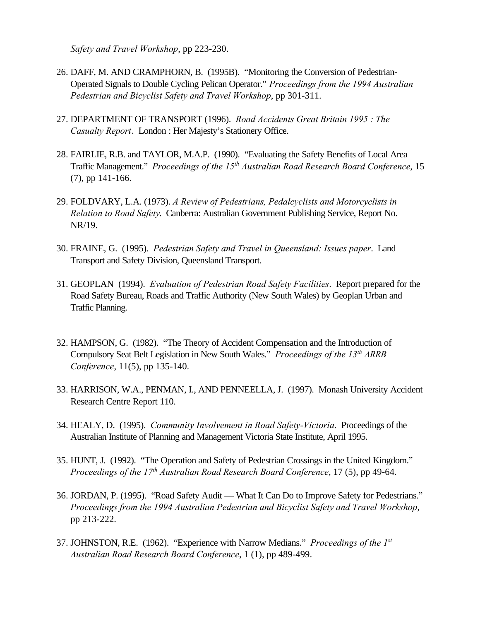*Safety and Travel Workshop*, pp 223-230.

- 26. DAFF, M. AND CRAMPHORN, B. (1995B). "Monitoring the Conversion of Pedestrian-Operated Signals to Double Cycling Pelican Operator." *Proceedings from the 1994 Australian Pedestrian and Bicyclist Safety and Travel Workshop*, pp 301-311.
- 27. DEPARTMENT OF TRANSPORT (1996). *Road Accidents Great Britain 1995 : The Casualty Report*. London : Her Majesty's Stationery Office.
- 28. FAIRLIE, R.B. and TAYLOR, M.A.P. (1990). "Evaluating the Safety Benefits of Local Area Traffic Management." *Proceedings of the 15th Australian Road Research Board Conference*, 15 (7), pp 141-166.
- 29. FOLDVARY, L.A. (1973). *A Review of Pedestrians, Pedalcyclists and Motorcyclists in Relation to Road Safety*. Canberra: Australian Government Publishing Service, Report No. NR/19.
- 30. FRAINE, G. (1995). *Pedestrian Safety and Travel in Queensland: Issues paper*. Land Transport and Safety Division, Queensland Transport.
- 31. GEOPLAN (1994). *Evaluation of Pedestrian Road Safety Facilities*. Report prepared for the Road Safety Bureau, Roads and Traffic Authority (New South Wales) by Geoplan Urban and Traffic Planning.
- 32. HAMPSON, G. (1982). "The Theory of Accident Compensation and the Introduction of Compulsory Seat Belt Legislation in New South Wales." *Proceedings of the 13th ARRB Conference*, 11(5), pp 135-140.
- 33. HARRISON, W.A., PENMAN, I., AND PENNEELLA, J. (1997). Monash University Accident Research Centre Report 110.
- 34. HEALY, D. (1995). *Community Involvement in Road Safety-Victoria*. Proceedings of the Australian Institute of Planning and Management Victoria State Institute, April 1995.
- 35. HUNT, J. (1992). "The Operation and Safety of Pedestrian Crossings in the United Kingdom." *Proceedings of the 17th Australian Road Research Board Conference*, 17 (5), pp 49-64.
- 36. JORDAN, P. (1995). "Road Safety Audit What It Can Do to Improve Safety for Pedestrians." *Proceedings from the 1994 Australian Pedestrian and Bicyclist Safety and Travel Workshop*, pp 213-222.
- 37. JOHNSTON, R.E. (1962). "Experience with Narrow Medians." *Proceedings of the 1st Australian Road Research Board Conference*, 1 (1), pp 489-499.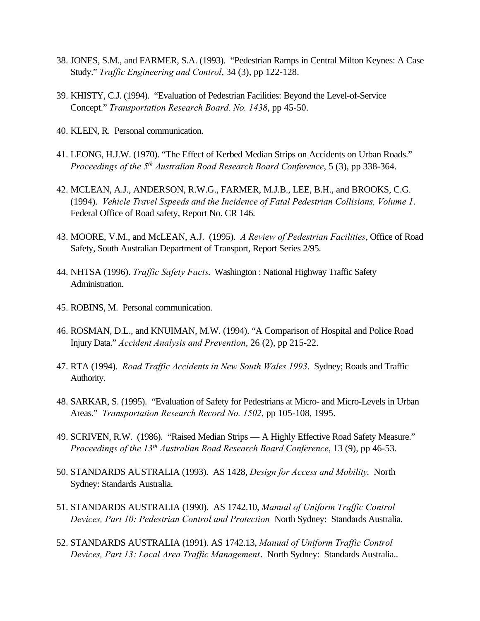- 38. JONES, S.M., and FARMER, S.A. (1993). "Pedestrian Ramps in Central Milton Keynes: A Case Study." *Traffic Engineering and Control*, 34 (3), pp 122-128.
- 39. KHISTY, C.J. (1994). "Evaluation of Pedestrian Facilities: Beyond the Level-of-Service Concept." *Transportation Research Board. No. 1438*, pp 45-50.
- 40. KLEIN, R. Personal communication.
- 41. LEONG, H.J.W. (1970). "The Effect of Kerbed Median Strips on Accidents on Urban Roads." *Proceedings of the 5th Australian Road Research Board Conference*, 5 (3), pp 338-364.
- 42. MCLEAN, A.J., ANDERSON, R.W.G., FARMER, M.J.B., LEE, B.H., and BROOKS, C.G. (1994). *Vehicle Travel Sspeeds and the Incidence of Fatal Pedestrian Collisions, Volume 1*. Federal Office of Road safety, Report No. CR 146.
- 43. MOORE, V.M., and McLEAN, A.J. (1995). *A Review of Pedestrian Facilities*, Office of Road Safety, South Australian Department of Transport, Report Series 2/95.
- 44. NHTSA (1996). *Traffic Safety Facts*. Washington : National Highway Traffic Safety Administration.
- 45. ROBINS, M. Personal communication.
- 46. ROSMAN, D.L., and KNUIMAN, M.W. (1994). "A Comparison of Hospital and Police Road Injury Data." *Accident Analysis and Prevention*, 26 (2), pp 215-22.
- 47. RTA (1994). *Road Traffic Accidents in New South Wales 1993*. Sydney; Roads and Traffic Authority.
- 48. SARKAR, S. (1995). "Evaluation of Safety for Pedestrians at Micro- and Micro-Levels in Urban Areas." *Transportation Research Record No. 1502*, pp 105-108, 1995.
- 49. SCRIVEN, R.W. (1986). "Raised Median Strips A Highly Effective Road Safety Measure." *Proceedings of the 13th Australian Road Research Board Conference*, 13 (9), pp 46-53.
- 50. STANDARDS AUSTRALIA (1993). AS 1428, *Design for Access and Mobility*. North Sydney: Standards Australia.
- 51. STANDARDS AUSTRALIA (1990). AS 1742.10, *Manual of Uniform Traffic Control Devices, Part 10: Pedestrian Control and Protection* North Sydney: Standards Australia.
- 52. STANDARDS AUSTRALIA (1991). AS 1742.13, *Manual of Uniform Traffic Control Devices, Part 13: Local Area Traffic Management*. North Sydney: Standards Australia..